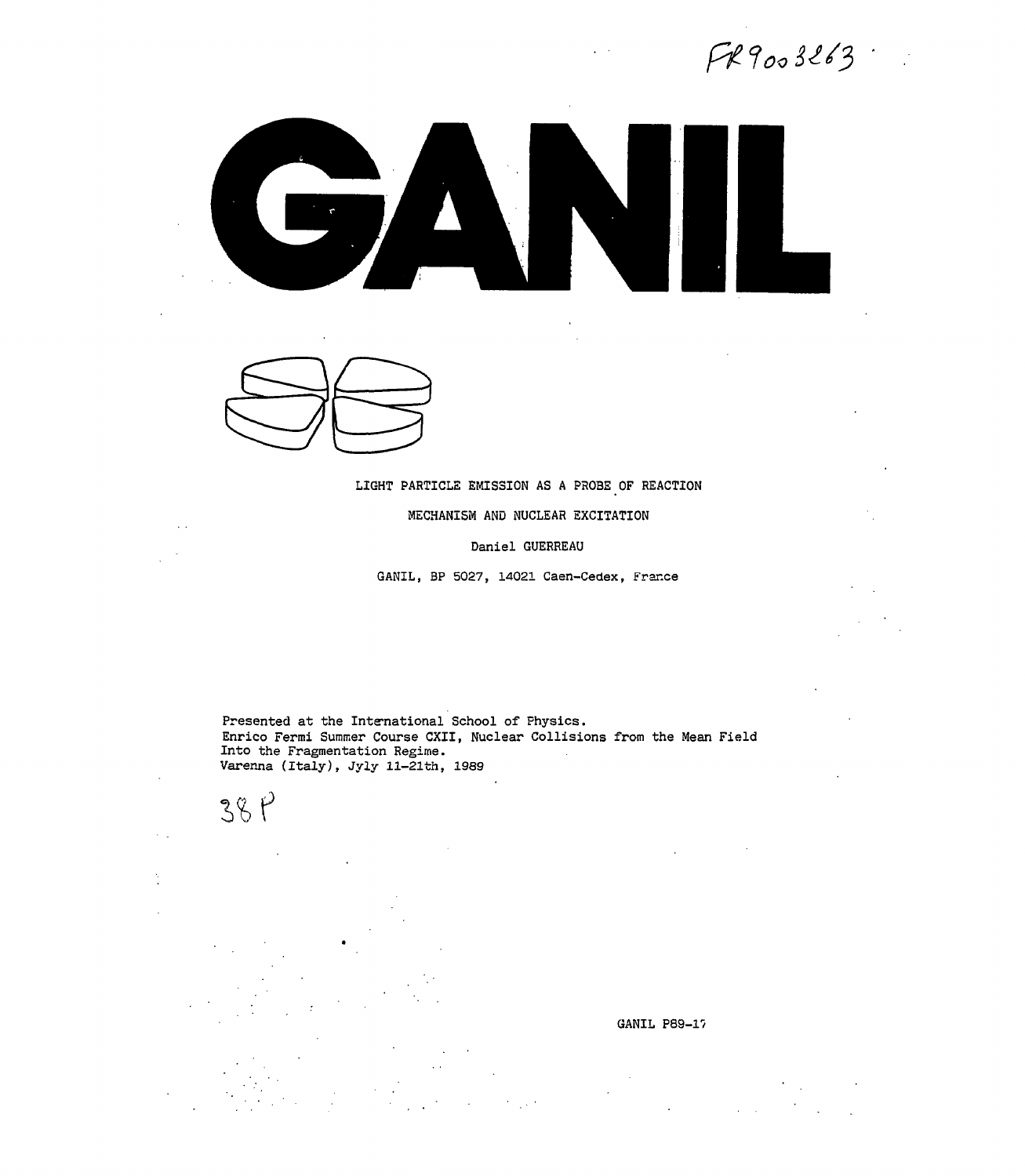$FR9003263$ 





### LIGHT PARTICLE EMISSION AS A PROBE OF REACTION

#### MECHANISM AND NUCLEAR EXCITATION

#### Daniel GUERREAU

GANIL, BP 5027, 14021 Caen-Cedex, France

Presented at the International School of Physics. Enrico Fermi Summer Course CXII, Nuclear Collisions from the Mean Field Into the Fragmentation Regime. Varenna (Italy), Jyly ll-21th, 1989

 $38P$ 

GANIL P89-17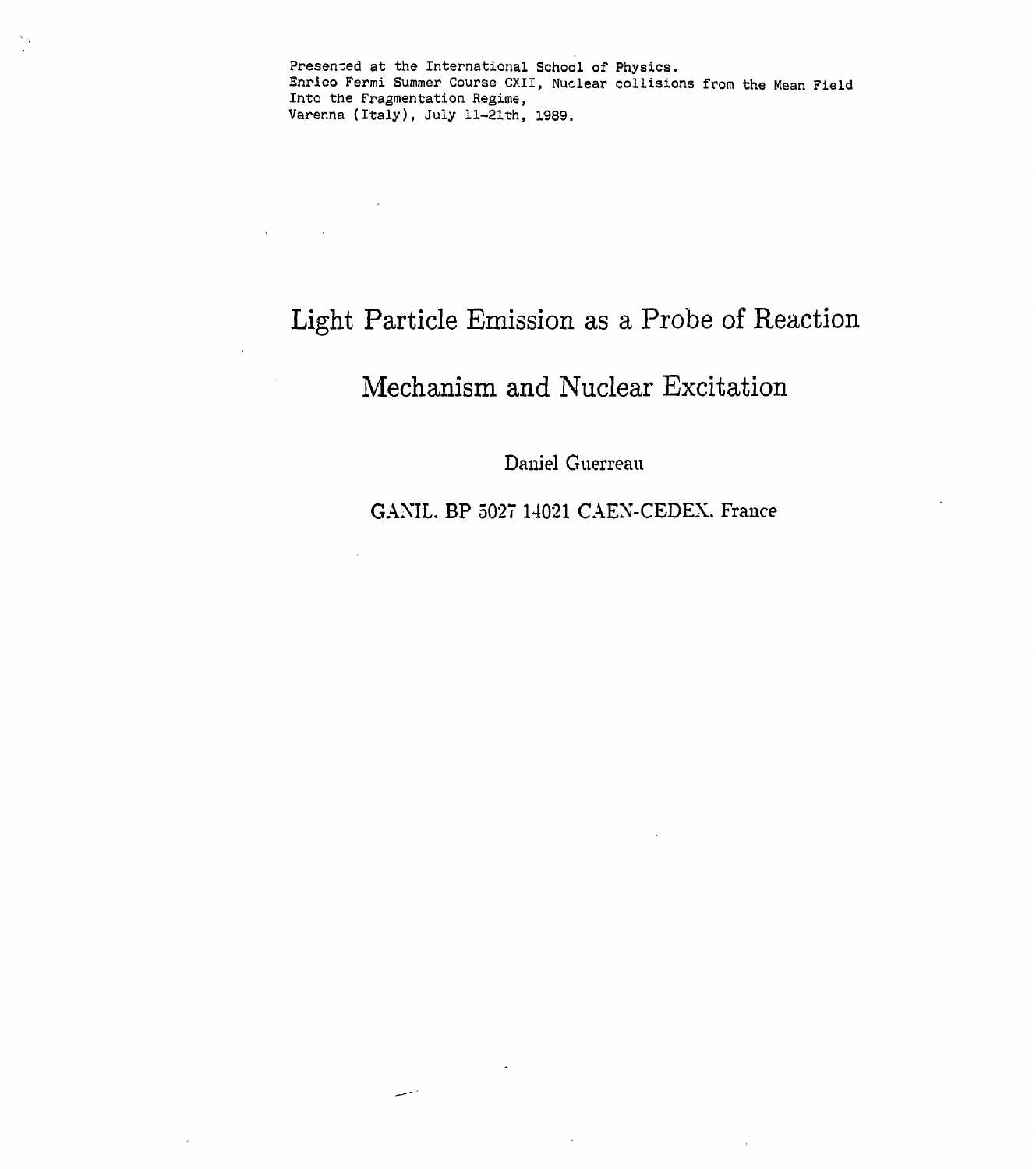Presented at the International School of Physics. Enrico Fermi Summer Course CXII, Nuclear collisions from the Mean Field Into the Fragmentation Regime, Varenna (Italy), July ll-21th, 1989.

# Light Particle Emission as a Probe of Reaction

**Contractor** 

است

 $\mathcal{L}$ 

 $\Delta \sim 10^{11}$ 

# Mechanism and Nuclear Excitation

Daniel Guerreau

GANIL. BP 5027 14021 CAEN-CEDEX. France

 $\sim$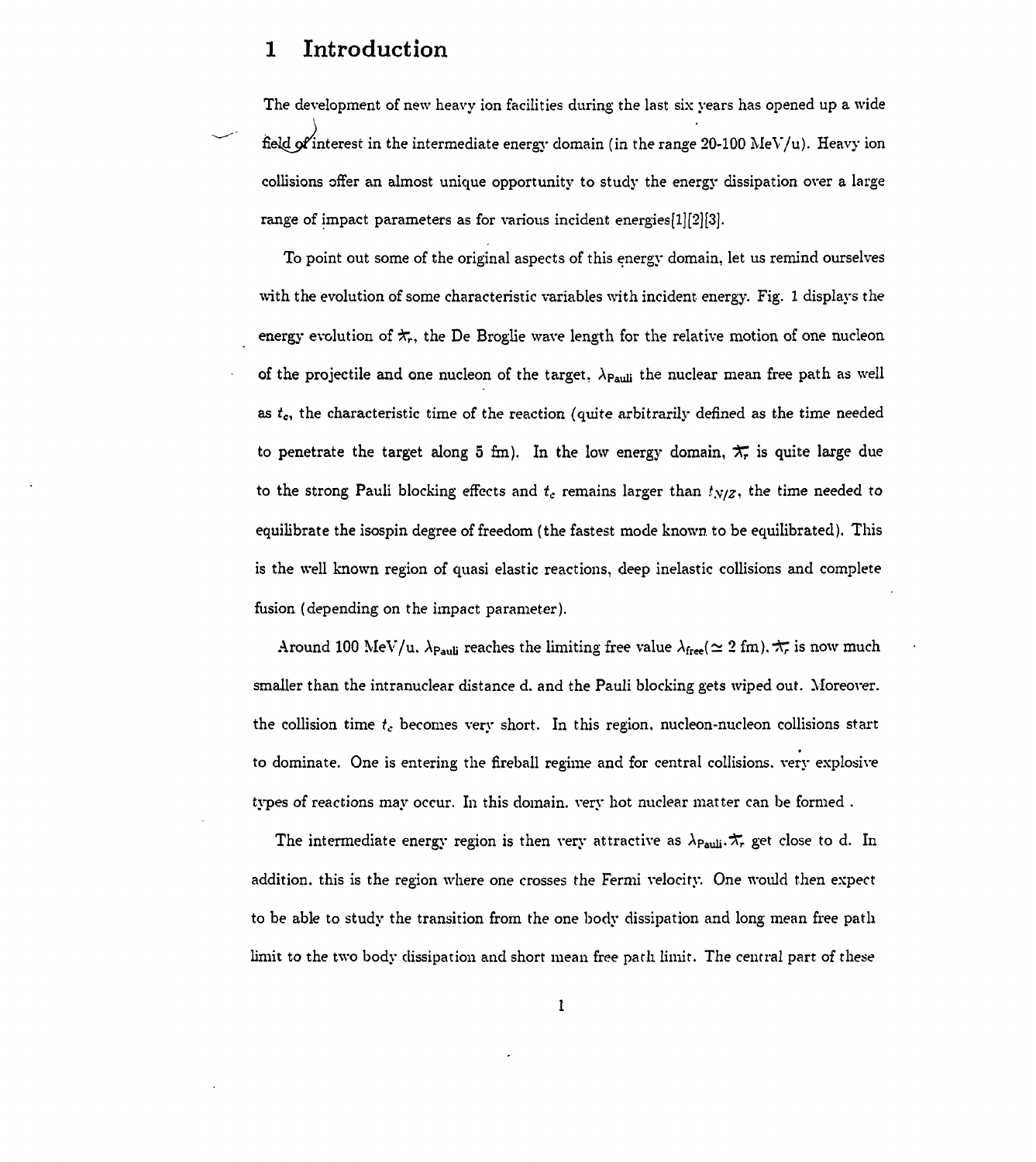# **1 Introduction**

The development of new heavy ion facilities during the last six years has opened up a wide field of interest in the intermediate energy domain (in the range 20-100 MeV/u). Heavy ion collisions offer an almost unique opportunity to study the energy dissipation over a large range of impact parameters as for various incident energies[1][2][3].

To point out some of the original aspects of this energy domain, let us remind ourselves with the evolution of some characteristic variables with incident energy. Fig. 1 displays the energy evolution of  $\star_{r},$  the De Broglie wave length for the relative motion of one nucleon of the projectile and one nucleon of the target,  $\lambda_{Pauli}$  the nuclear mean free path as well as *tc,* the characteristic time of the reaction (quite arbitrarily defined as the time needed to penetrate the target along 5 fm). In the low energy domain,  $\pi$  is quite large due to the strong Pauli blocking effects and  $t_c$  remains larger than  $t_{N/Z}$ , the time needed to equilibrate the isospin degree of freedom (the fastest mode known, to be equilibrated). This is the well known region of quasi elastic reactions, deep inelastic collisions and complete fusion (depending on the impact parameter).

Around 100 MeV/u.  $\lambda_{Pauli}$  reaches the limiting free value  $\lambda_{free} (\simeq 2 \text{ fm})$ ,  $\pi$  is now much smaller than the intranuclear distance d. and the Pauli blocking gets wiped out. Moreover, the collision time *tc* becomes very short. In this region, nucleon-nucleon collisions start to dominate. One is entering the fireball regime and for central collisions, very explosive types of reactions may occur. In this domain, very hot nuclear matter can be formed .

The intermediate energy region is then very attractive as  $\lambda_{\mathsf{Pauli}}.\boldsymbol{\pi_{r}}$  get close to d. In addition, this is the region where one crosses the Fermi velocity. One would then expect to be able to study the transition from the one body dissipation and long mean free path limit to the two body dissipation and short mean free path limit. The central part of these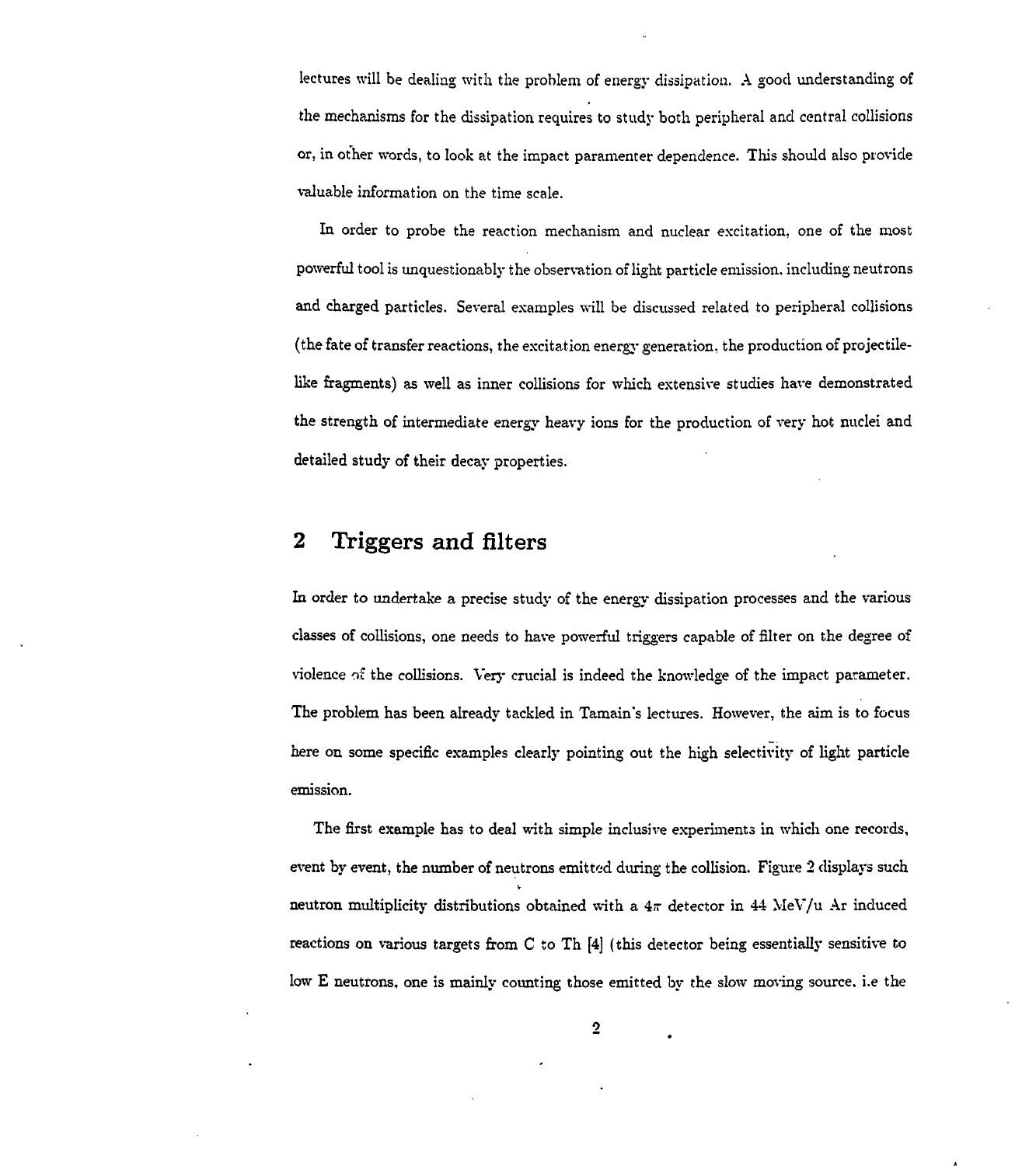lectures will be dealing with the problem of energy dissipation. A good understanding of the mechanisms for the dissipation requires to study both peripheral and central collisions or, in other words, to look at the impact paramenter dependence. This should also provide valuable information on the time scale.

In order to probe the reaction mechanism and nuclear excitation, one of the most powerful tool is unquestionably the observation of light particle emission, including neutrons and charged particles. Several examples will be discussed related to peripheral collisions (the fate of transfer reactions, the excitation energy generation, the production of projectilelike fragments) as well as inner collisions for which extensive studies have demonstrated the strength of intermediate energy heavy ions for the production of very hot nuclei and detailed study of their decay properties.

# **2 Triggers and filters**

In order to undertake a precise study of the energy dissipation processes and the various classes of collisions, one needs to have powerful triggers capable of filter on the degree of violence of the collisions. Very crucial is indeed the knowledge of the impact parameter. The problem has been already tackled in Tamain's lectures. However, the aim is to focus here on some specific examples clearly pointing out the high selectivity of light particle emission.

The first example has to deal with simple inclusive experiments in which one records, event by event, the number of neutrons emitted during the collision. Figure *'2* displays such V neutron multiplicity distributions obtained with a  $4\pi$  detector in 44 MeV/u Ar induced reactions on various targets from C to Th [4] (this detector being essentially sensitive to low E neutrons, one is mainly counting those emitted by the slow moving source, i.e the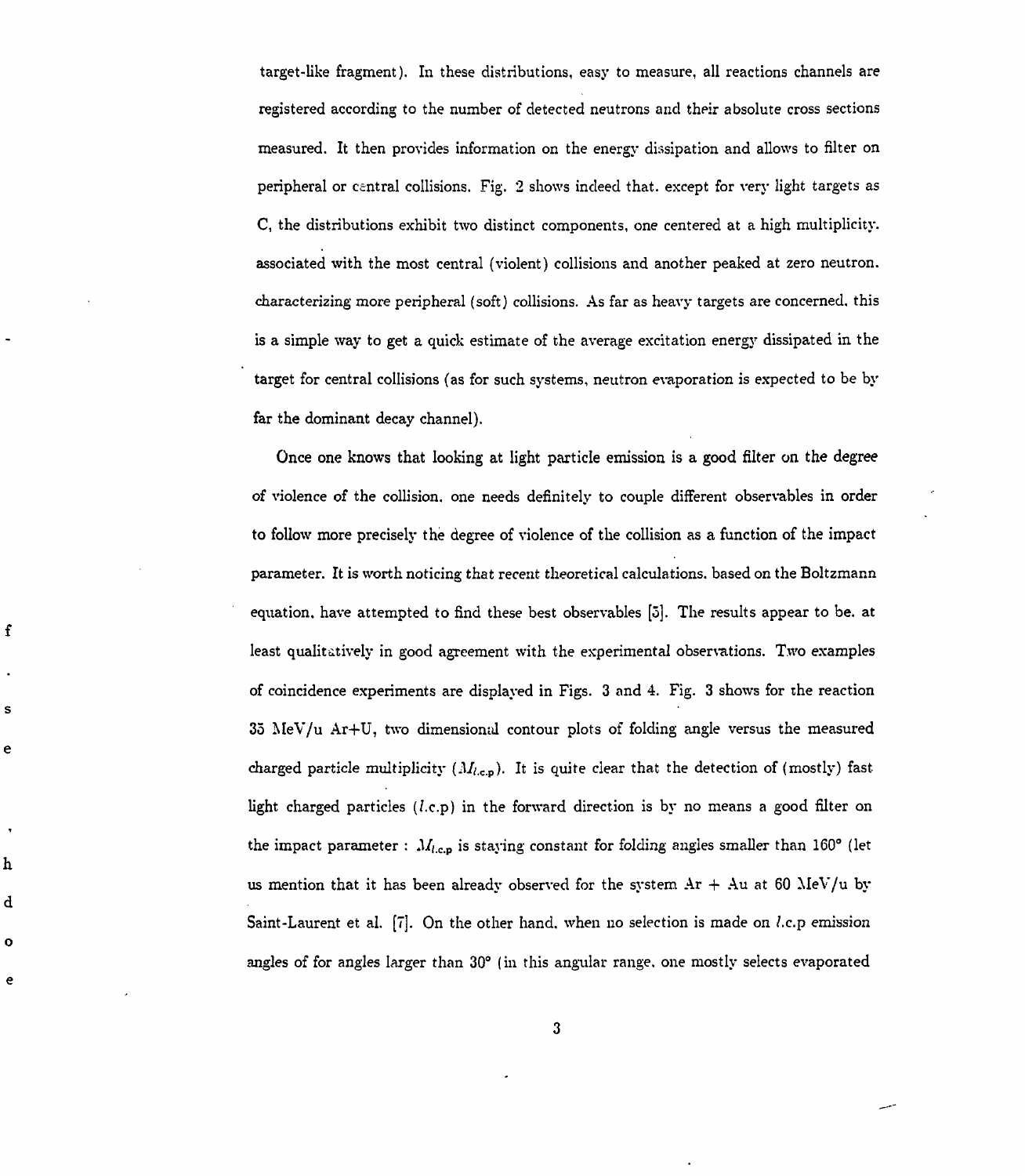target-like fragment). In these distributions, easy to measure, all reactions channels are registered according to the number of detected neutrons and their absolute cross sections measured. It then provides information on the energy dissipation and allows to filter on peripheral or central collisions. Fig. 2 shows indeed that, except for very light targets as C, the distributions exhibit two distinct components, one centered at a high multiplicity. associated with the most central (violent) collisions and another peaked at zero neutron. characterizing more peripheral (soft) collisions. As far as heavy targets are concerned, this is a simple way to get a quick estimate of the average excitation energy dissipated in the target for central collisions (as for such systems, neutron evaporation is expected to be by far the dominant decay channel).

Once one knows that looking at light particle emission is a good filter on the degree of violence of the collision, one needs definitely to couple different observables in order to follow more precisely the degree of violence of the collision as a function of the impact parameter. It is worth noticing that recent theoretical calculations, based on the Boltzmann equation, have attempted to find these best observables [5]. The results appear to be. at least qualitatively in good agreement with the experimental observations. Two examples of coincidence experiments are displayed in Figs. 3 and 4. Fig. 3 shows for the reaction 35 MeV/u Ar+U, two dimensional contour plots of folding angle versus the measured charged particle multiplicity  $(M_{l,c,p})$ . It is quite clear that the detection of (mostly) fast light charged particles *(l.c.p)* in the forward direction is by no means a good filter on the impact parameter :  $M_{l,c,p}$  is staying constant for folding angles smaller than 160° (let us mention that it has been already observed for the system  $Ar + Au$  at 60 MeV/u by Saint-Laurent et al. [7]. On the other hand, when no selection is made on *l.c.p* emission angles of for angles larger than 30° (in this angular range, one mostly selects evaporated

f

s

e

h

d

 $\ddot{\mathbf{o}}$ 

e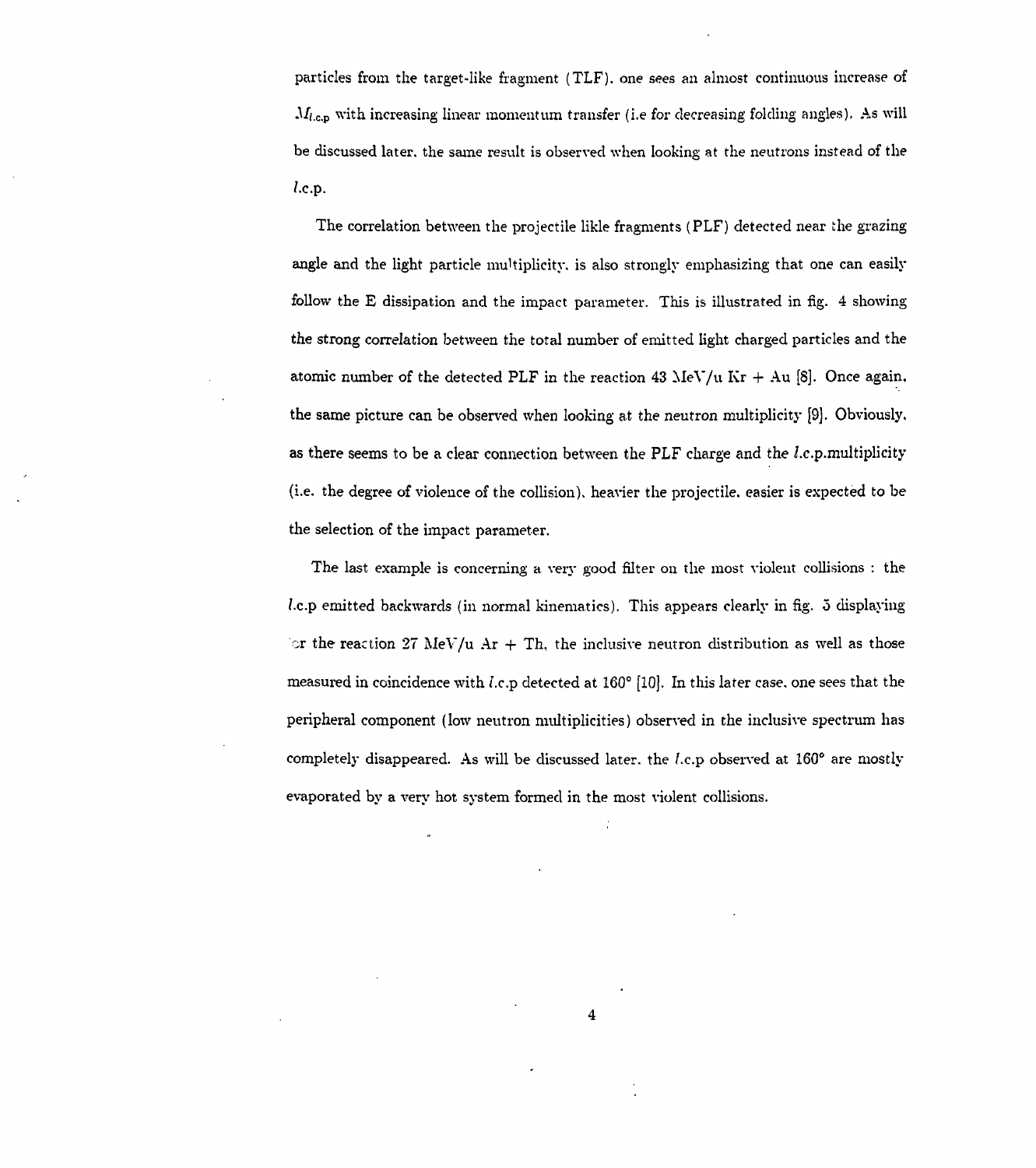particles from the target-like fragment (TLF). one sees an almost continuous increase of  $M_{l,c,p}$  with increasing linear momentum transfer (i.e for decreasing folding angles). As will be discussed later, the same result is observed when looking at the neutrons instead of the /.c.p.

The correlation between the projectile likle fragments (PLF) detected near the grazing angle and the light particle multiplicity, is also strongly emphasizing that one can easily follow the E dissipation and the impact parameter. This is illustrated in fig. 4 showing the strong correlation between the total number of emitted light charged particles and the atomic number of the detected PLF in the reaction 43 MeV/u Kr  $+$  Au [8]. Once again, the same picture can be observed when looking at the neutron multiplicity [9]. Obviously, as there seems to be a clear connection between the PLF charge and the /.c.p.multiplicity (i.e. the degree of violence of the collision), heavier the projectile, easier is expected to be the selection of the impact parameter.

The last example is concerning a very good filter ou the most violent collisions : the *l.c.p* emitted backwards (in normal kinematics). This appears clearly in fig. 3 displaying  $\sigma$  the reaction 27 MeV/u Ar + Th, the inclusive neutron distribution as well as those measured in coincidence with *l.c.p* detected at 160 $^{\circ}$  [10]. In this later case, one sees that the peripheral component (low neutron multiplicities) observed in the inclusive spectrum has completely disappeared. As will be discussed later, the *l.c.p* observed at 160° are mostly evaporated by a very hot system formed in the most violent collisions.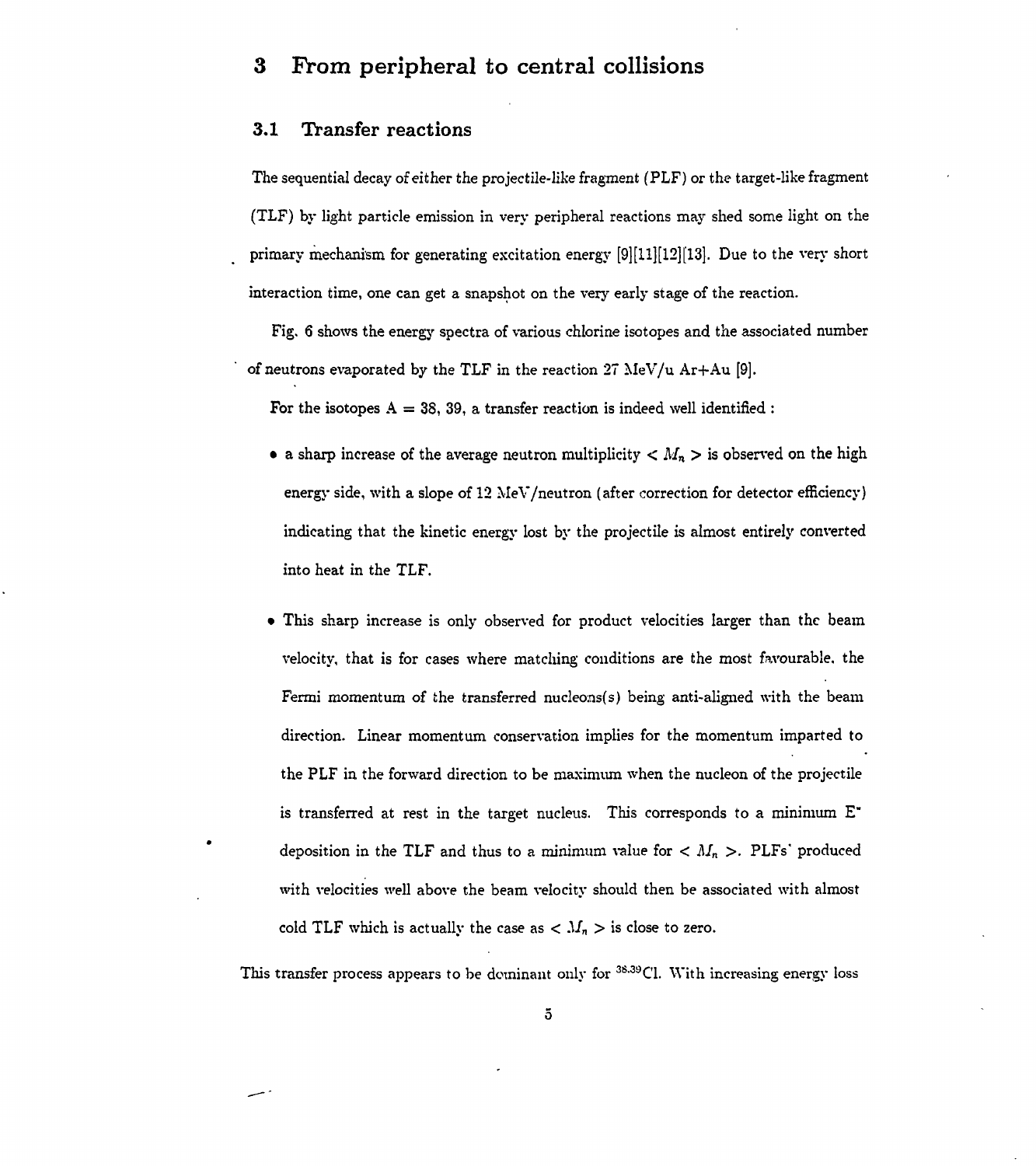## **3 From peripheral to central collisions**

### **3.1 Transfer reactions**

The sequential decay of either the projectile-like fragment (PLF) or the target-like fragment (TLF) by light particle emission in very peripheral reactions may shed some light on the primary mechanism for generating excitation energy [9][11][12][13]. Due to the very short interaction time, one can get a snapshot on the very early stage of the reaction.

Fig. 6 shows the energy spectra of various chlorine isotopes and the associated number of neutrons evaporated by the TLF in the reaction  $27$  MeV/u Ar+Au [9].

For the isotopes  $A = 38, 39$ , a transfer reaction is indeed well identified :

- a sharp increase of the average neutron multiplicity  $\langle M_n \rangle$  is observed on the high energy side, with a slope of 12 MeV/neutron (after correction for detector efficiency) indicating that the kinetic energy lost by the projectile is almost entirely converted into heat in the TLF.
- This sharp increase is only observed for product velocities larger than the beam velocity, that is for cases where matching conditions are the most favourable, the Fermi momentum of the transferred nucleons(s) being anti-aligned with the beam direction. Linear momentum conservation implies for the momentum imparted to the PLF in the forward direction to be maximum when the nucleon of the projectile is transferred at rest in the target nucleus. This corresponds to a minimum  $E^*$ deposition in the TLF and thus to a minimum value for  $\langle M_n \rangle$ . PLFs' produced with velocities well above the beam velocity should then be associated with almost cold TLF which is actually the case as  $\langle M_n \rangle$  is close to zero.

This transfer process appears to be dominant only for <sup>38,39</sup>Cl. With increasing energy loss

5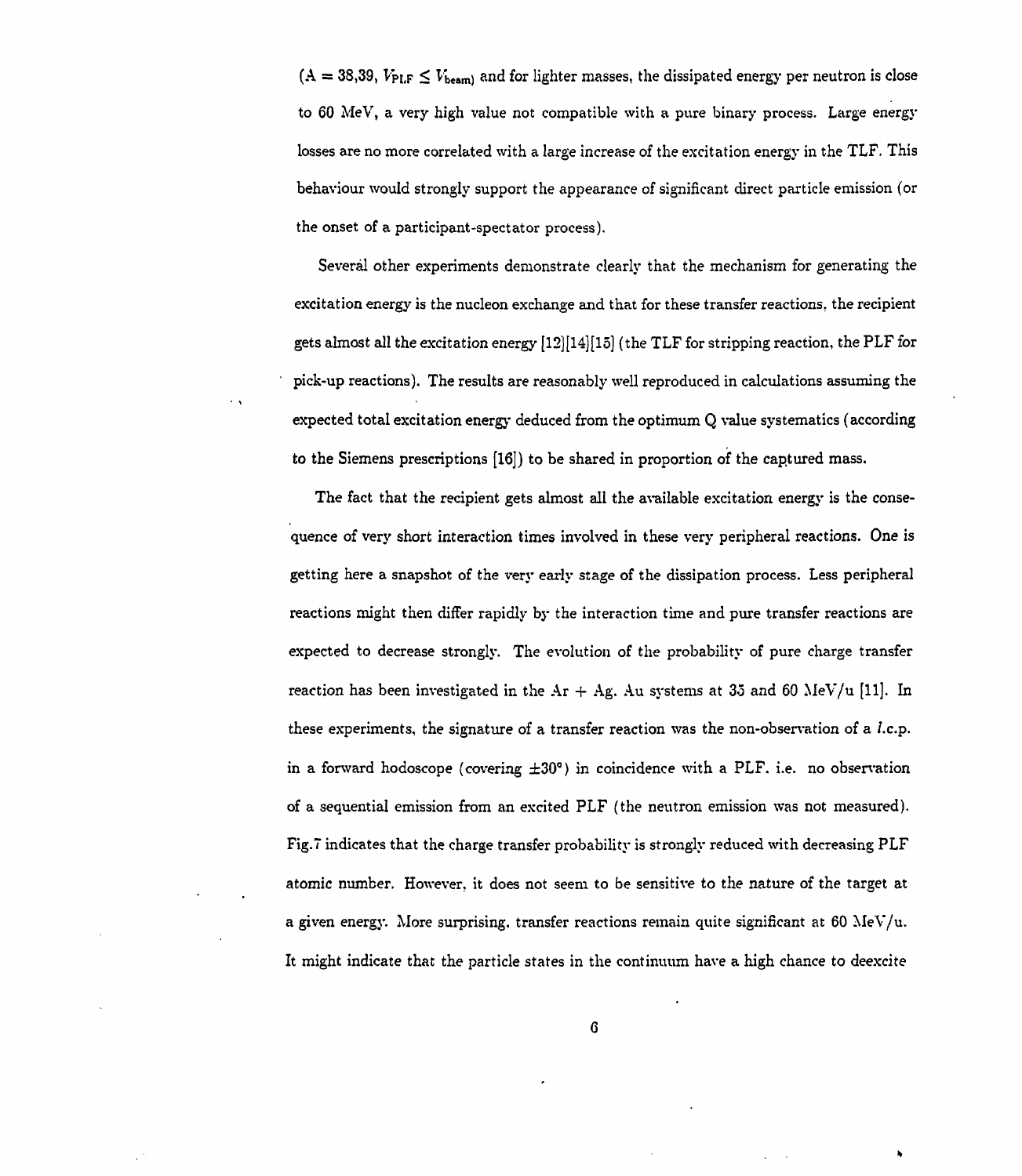$(A = 38,39, V_{\text{PLF}} \leq V_{\text{beam}})$  and for lighter masses, the dissipated energy per neutron is close to 60 MeV, a very high value not compatible with a pure binary process. Large energy losses are no more correlated with a large increase of the excitation energy in the TLF. This behaviour would strongly support the appearance of significant direct particle emission (or the onset of a participant-spectator process).

Several other experiments demonstrate clearly that the mechanism for generating the excitation energy is the nucleon exchange and that for these transfer reactions, the recipient gets almost all the excitation energy  $[12][14][15]$  (the TLF for stripping reaction, the PLF for pick-up reactions). The results are reasonably well reproduced in calculations assuming the expected total excitation energy deduced from the optimum Q value systematics (according to the Siemens prescriptions [16]) to be shared in proportion of the captured mass.

The fact that the recipient gets almost all the available excitation energy is the consequence of very short interaction times involved in these very peripheral reactions. One is getting here a snapshot of the very early stage of the dissipation process. Less peripheral reactions might then differ rapidly by the interaction time and pure transfer reactions are expected to decrease strongly. The evolution of the probability of pure charge transfer reaction has been investigated in the  $Ar + Ag$ . Au systems at 35 and 60 MeV/u [11]. In these experiments, the signature of a transfer reaction was the non-observation of a *l.c.p.* in a forward hodoscope (covering  $\pm 30^{\circ}$ ) in coincidence with a PLF, i.e. no observation of a sequential emission from an excited PLF (the neutron emission was not measured). Fig.7 indicates that the charge transfer probability is strongly reduced with decreasing PLF atomic number. However, it does not seem to be sensitive to the nature of the target at a given energy. More surprising, transfer reactions remain quite significant at 60 MeV/u. It might indicate that the particle states in the continuum have a high chance to deexcite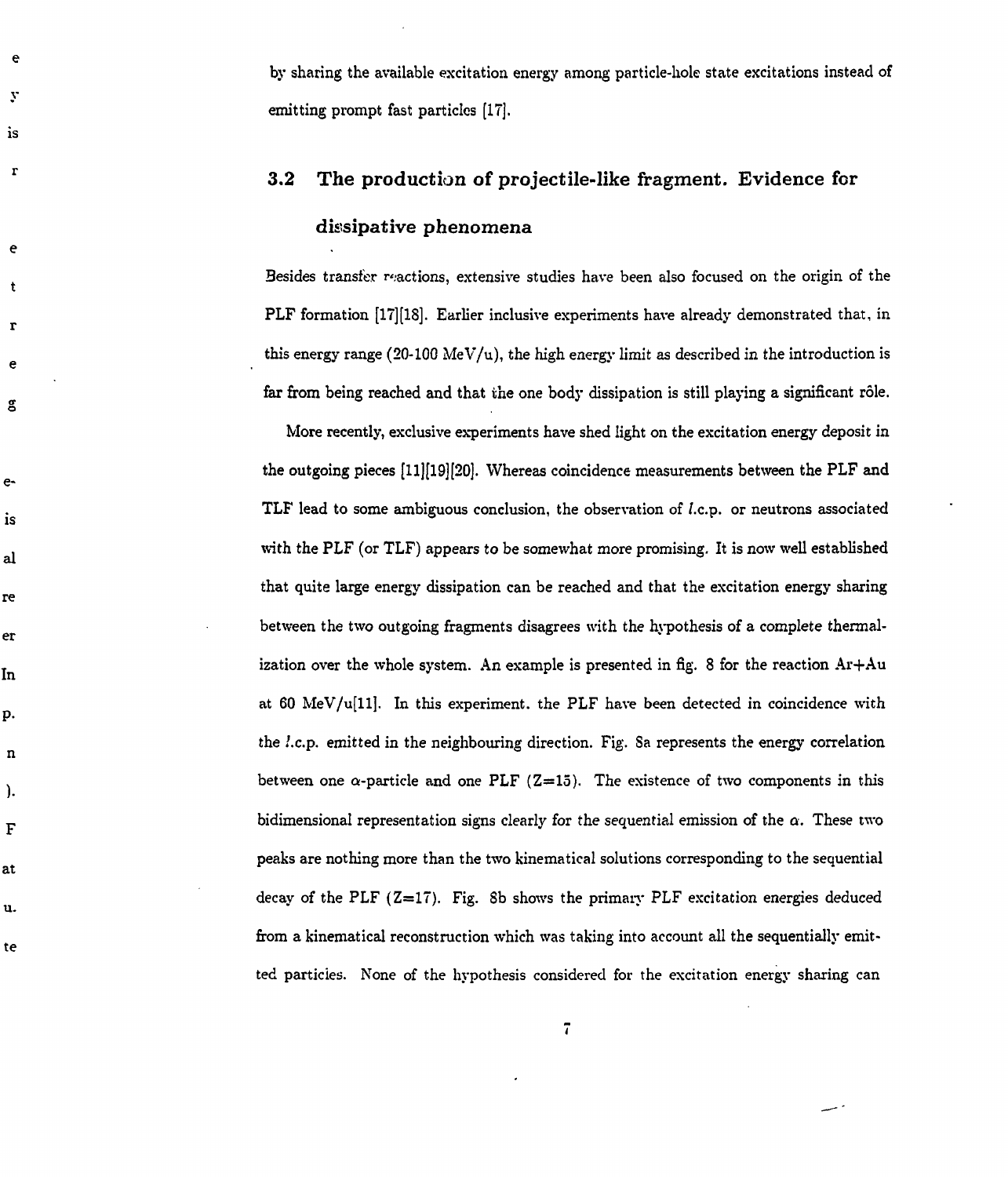by sharing the available excitation energy among particle-hole state excitations instead of emitting prompt fast particles [IT].

 $\mathbf e$ 

 $\mathbf{v}$ 

is

 $\mathbf{r}$ 

e

t

r

e

g

e-

is

al

re

er

In

p.

n

).

F

at

u.

te

# **3.2** The production of projectile-like fragment. Evidence for dissipative phenomena

Besides transfer reactions, extensive studies have been also focused on the origin of the PLF formation [17][18]. Earlier inclusive experiments have already demonstrated that, in this energy range (20-100 MeV/u), the high energy limit as described in the introduction is far from being reached and that the one body dissipation is still playing a significant rôle.

More recently, exclusive experiments have shed light on the excitation energy deposit in the outgoing pieces [11][19][20]. Whereas coincidence measurements between the PLF and TLF lead to some ambiguous conclusion, the observation of *l.c.p.* or neutrons associated with the PLF (or TLF) appears to be somewhat more promising. It is now well established that quite large energy dissipation can be reached and that the excitation energy sharing between the two outgoing fragments disagrees with the hypothesis of a complete thermalization over the whole system. An example is presented in fig. 8 for the reaction  $Ar+Au$ at 60 MeV/u[ll], In this experiment, the PLF have been detected in coincidence with the /.c.p. emitted in the neighbouring direction. Fig. Sa represents the energy correlation between one  $\alpha$ -particle and one PLF (Z=15). The existence of two components in this bidimensional representation signs clearly for the sequential emission of the  $\alpha$ . These two peaks are nothing more than the two kinematical solutions corresponding to the sequential decay of the PLF  $(Z=17)$ . Fig. 8b shows the primary PLF excitation energies deduced from a kinematical reconstruction which was taking into account all the sequentially emitted particles. None of the hypothesis considered for the excitation energy sharing can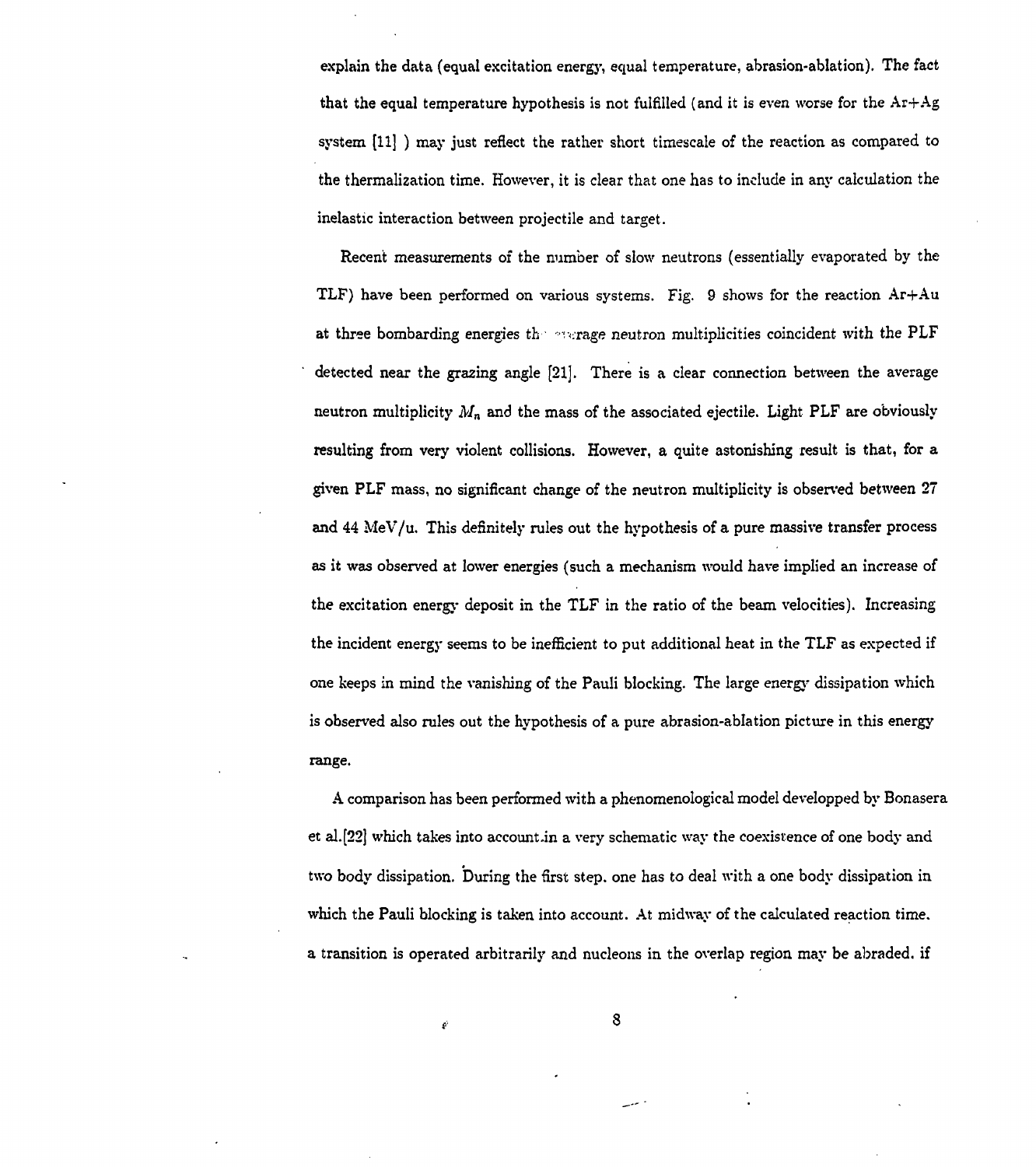explain the data (equal excitation energy, equal temperature, abrasion-ablation). The fact that the equal temperature hypothesis is not fulfilled (and it is even worse for the  $Ar+Ag$ system [11] ) may just reflect the rather short timescale of the reaction as compared to the thermalization time. However, it is clear that one has to include in any calculation the inelastic interaction between projectile and target.

Recent measurements of the number of slow neutrons (essentially evaporated by the TLF) have been performed on various systems. Fig. 9 shows for the reaction  $Ar+Au$ at three bombarding energies the everage neutron multiplicities coincident with the PLF detected near the grazing angle [21]. There is a clear connection between the average neutron multiplicity  $M_n$  and the mass of the associated ejectile. Light PLF are obviously resulting from very violent collisions. However, a quite astonishing result is that, for a given PLF mass, no significant change of the neutron multiplicity is observed between 27 and 44 MeV/u. This definitely rules out the hypothesis of a pure massive transfer process as it was observed at lower energies (such a mechanism would have implied an increase of the excitation energy deposit in the TLF in the ratio of the beam velocities). Increasing the incident energy seems to be inefficient to put additional heat in the TLF as expected if one keeps in mind the vanishing of the Pauli blocking. The large energy dissipation which is observed also rules out the hypothesis of a pure abrasion-ablation picture in this energy range.

A comparison has been performed with a phenomenological model developped by Bonasera et al.[22] which takes into account .in a very schematic way the coexistence of one body and two body dissipation. During the first step, one has to deal with a one body dissipation in which the Pauli blocking is taken into account. At midway of the calculated reaction time, a transition is operated arbitrarily and nucleons in the overlap region may be abraded, if

8

¢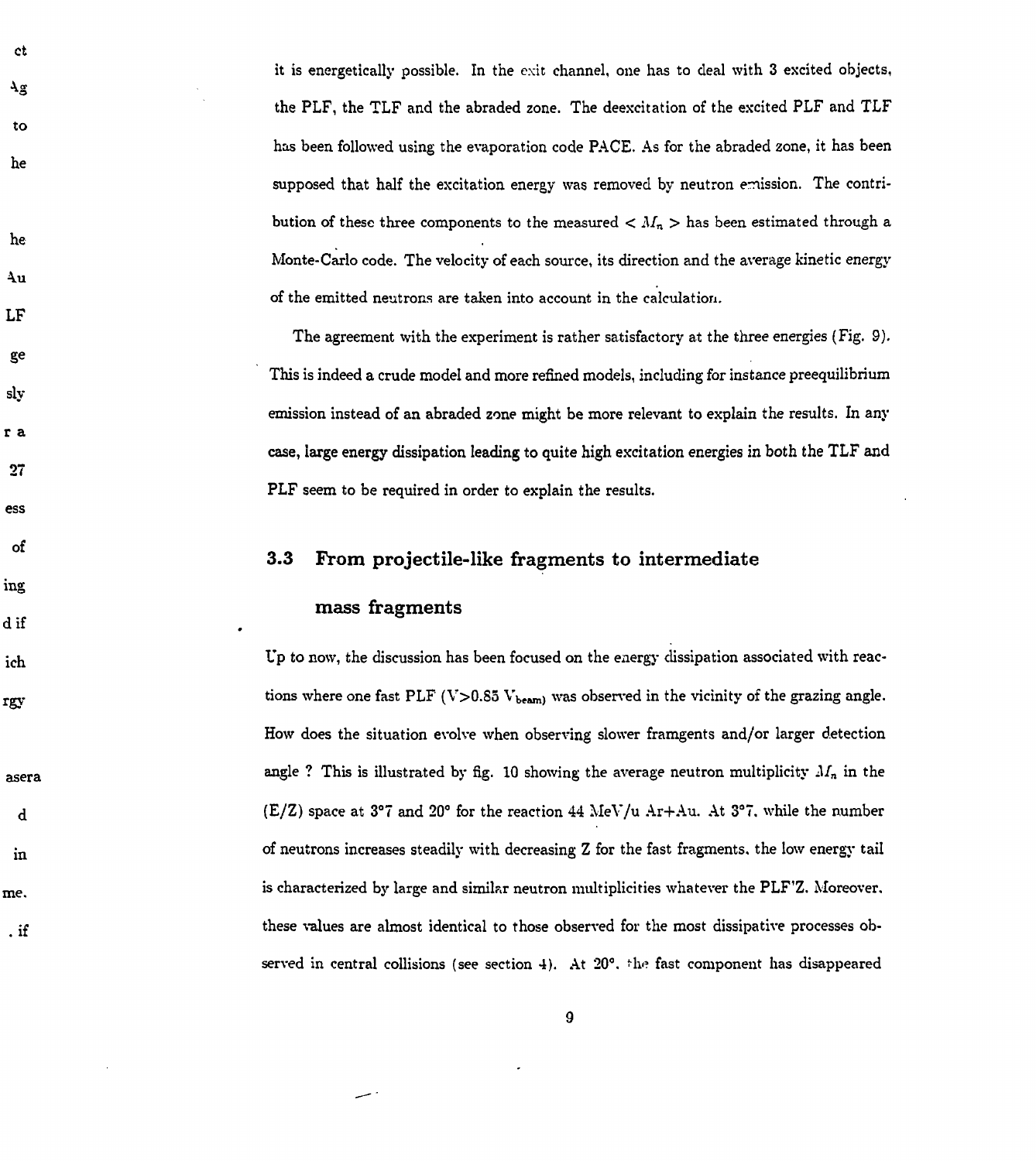it is energetically possible. In the exit channel, one has to deal with 3 excited objects, the PLF, the TLF and the abraded zone. The deexcitation of the excited PLF and TLF has been followed using the evaporation code PACE. As for the abraded zone, it has been supposed that half the excitation energy was removed by neutron emission. The contribution of these three components to the measured  $\langle M_n \rangle$  has been estimated through a Monte-Carlo code. The velocity of each source, its direction and the average kinetic energy of the emitted neutrons are taken into account in the calculation.

The agreement with the experiment is rather satisfactory at the three energies (Fig. 9). This is indeed a crude model and more refined models, including for instance preequilibrium emission instead of an abraded zone might be more relevant to explain the results. In any case, large energy dissipation leading to quite high excitation energies in both the TLF and PLF seem to be required in order to explain the results.

## 3.3 From projectile-like fragments to intermediate

## mass fragments

**ct** 

Ψā

to

he

he

4u

LF

ge

sly

ra

 $27$ 

ess

of

ing

d if

ich

rgy

asera

 $\mathbf d$ 

 $\mathbf{in}$ 

me.

 $\cdot$  if

Up to now, the discussion has been focused on the energy dissipation associated with reactions where one fast PLF (V>0.85  $V_{\text{beam}}$ ) was observed in the vicinity of the grazing angle. How does the situation evolve when observing slower framgents and/or larger detection angle ? This is illustrated by fig. 10 showing the average neutron multiplicity  $M_n$  in the (E/Z) space at 3°7 and 20° for the reaction 44 MeV/u Ar+Au. At 3°7, while the number of neutrons increases steadily with decreasing Z for the fast fragments, the low energy tail is characterized by large and similar neutron multiplicities whatever the PLF'Z. Moreover, these values are almost identical to those observed for the most dissipative processes observed in central collisions (see section 4). At  $20^{\circ}$ , the fast component has disappeared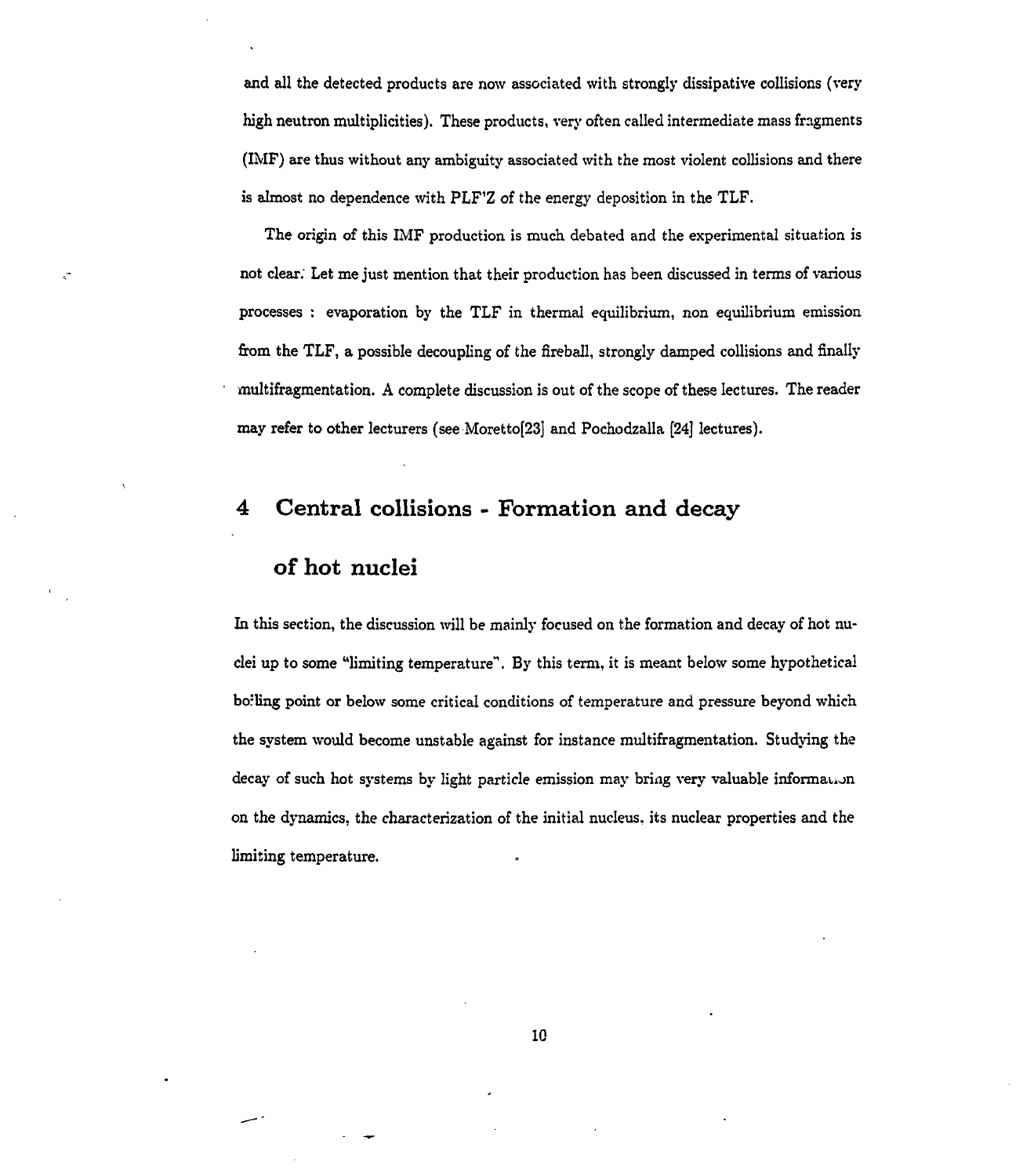and all the detected products are now associated with strongly dissipative collisions (very high neutron multiplicities). These products, very often called intermediate mass fragments (IMF) axe thus without any ambiguity associated with the most violent collisions and there is almost no dependence with PLF'Z of the energy deposition in the TLF.

The origin of this IMF production is much debated and the experimental situation is not clear; Let me just mention that their production has been discussed in terms of various processes : evaporation by the TLF in thermal equilibrium, non equilibrium emission from the TLF, a possible decoupling of the fireball, strongly damped collisions and finally multifragmentation. A complete discussion is out of the scope of these lectures. The reader may refer to other lecturers (see Moretto[23] and Pochodzalla [24] lectures).

## **4 Central collisions - Formation and decay**

## **of hot nuclei**

 $\zeta$ 

In this section, the discussion will be mainly focused on the formation and decay of hot nuclei up to some "limiting temperature". By this term, it is meant below some hypothetical borling point or below some critical conditions of temperature and pressure beyond which the system would become unstable against for instance multifragmentation. Studying the decay of such hot systems by light particle emission may bring very valuable informauon on the dynamics, the characterization of the initial nucleus, its nuclear properties and the limiting temperature.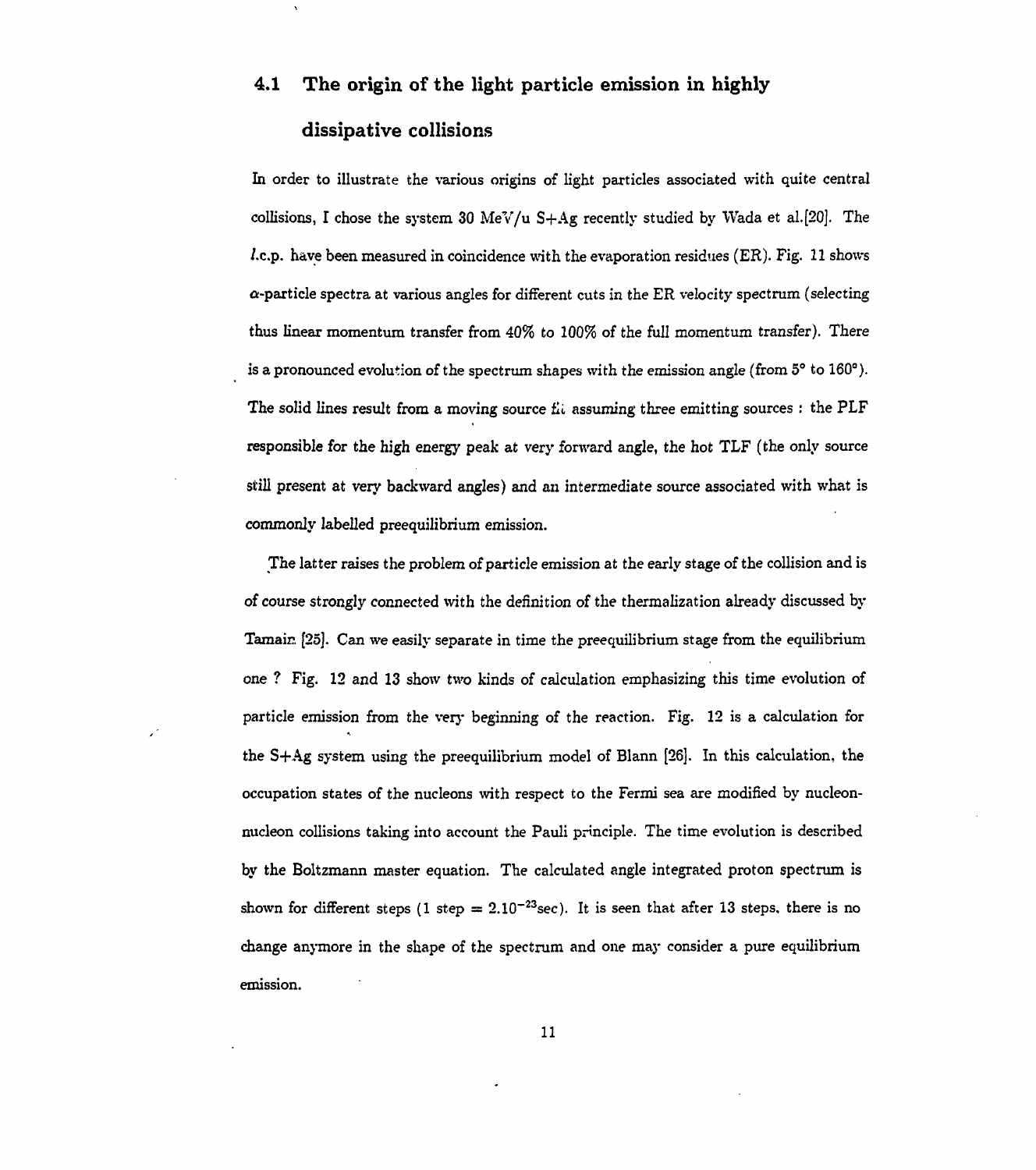# **4.1 The origin of the light particle emission in highly dissipative collisions**

In order to illustrate the various origins of light particles associated with quite central collisions, I chose the system 30 MeV/u  $S+Ag$  recently studied by Wada et al.[20]. The /.c.p. have been measured in coincidence with the evaporation residues (ER). Fig. 11 shows  $\alpha$ -particle spectra at various angles for different cuts in the ER velocity spectrum (selecting thus linear momentum transfer from 40% to 100% of the full momentum transfer). There is a pronounced evolution of the spectrum shapes with the emission angle (from  $5^{\circ}$  to 160°). The solid lines result from a moving source fli assuming three emitting sources : the  $PLF$ responsible for the high energy peak at very forward angle, the hot TLF (the only source still present at very backward angles) and an intermediate source associated with what is commonly labelled preequilibrium emission.

The latter raises the problem of particle emission at the early stage of the collision and is of course strongly connected with the definition of the thermalization already discussed by Tamair. [25]. Can we easily separate in time the preequilibrium stage from the equilibrium one ? Fig. 12 and 13 show two kinds of calculation emphasizing this time evolution of particle emission from the very beginning of the reaction. Fig. 12 is a calculation for the S+Ag system using the preequilibrium model of Blann [26]. In this calculation, the occupation states of the nucleons with respect to the Fermi sea are modified by nucleonnucleon collisions taking into account the Pauli principle. The time evolution is described by the Boltzmann master equation. The calculated angle integrated proton spectrum is shown for different steps (1 step =  $2.10^{-23}$  sec). It is seen that after 13 steps, there is no change anymore in the shape of the spectrum and one may consider a pure equilibrium emission.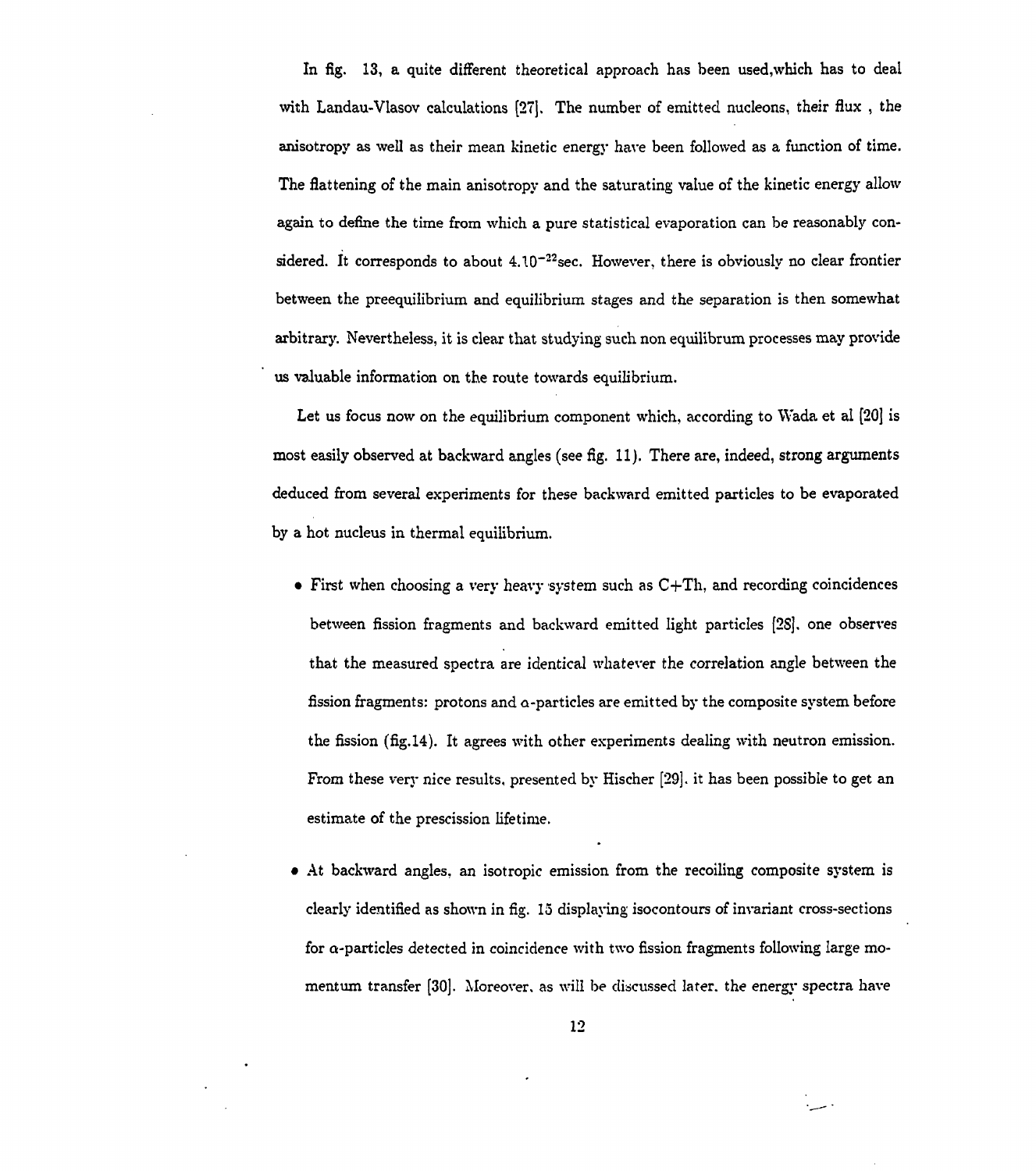In fig. 13, a quite different theoretical approach has been used,which has to deal with Landau-Vlasov calculations [27]. The number of emitted nucleons, their flux , the anisotropy as well as their mean kinetic energy have been followed as a function of time. The flattening of the main anisotropy and the saturating value of the kinetic energy allow again to define the time from which a pure statistical evaporation can be reasonably considered. It corresponds to about  $4.10^{-22}$  sec. However, there is obviously no clear frontier between the preequilibrium and equilibrium stages and the separation is then somewhat arbitrary. Nevertheless, it is clear that studying such non equilibrum processes may provide us valuable information on the route towards equilibrium.

Let us focus now on the equilibrium component which, according to Wada et al [20] is most easily observed at backward angles (see fig. 11). There are, indeed, strong arguments deduced from several experiments for these backward emitted particles to be evaporated by a hot nucleus in thermal equilibrium.

- First when choosing a very heavy system such as  $C+Th$ , and recording coincidences between fission fragments and backward emitted light particles [2S], one observes that the measured spectra are identical whatever the correlation angle between the fission fragments: protons and a-particles are emitted by the composite system before the fission (fig.14). It agrees with other experiments dealing with neutron emission. From these very nice results, presented by Hischer [29]. it has been possible to get an estimate of the prescission lifetime.
- At backward angles, an isotropic emission from the recoiling composite system is clearly identified as shown in fig. 15 displaying isocontours of invariant cross-sections for a-particles detected in coincidence with two fission fragments following large momentum transfer [30]. Moreover, as will be discussed later, the energy spectra have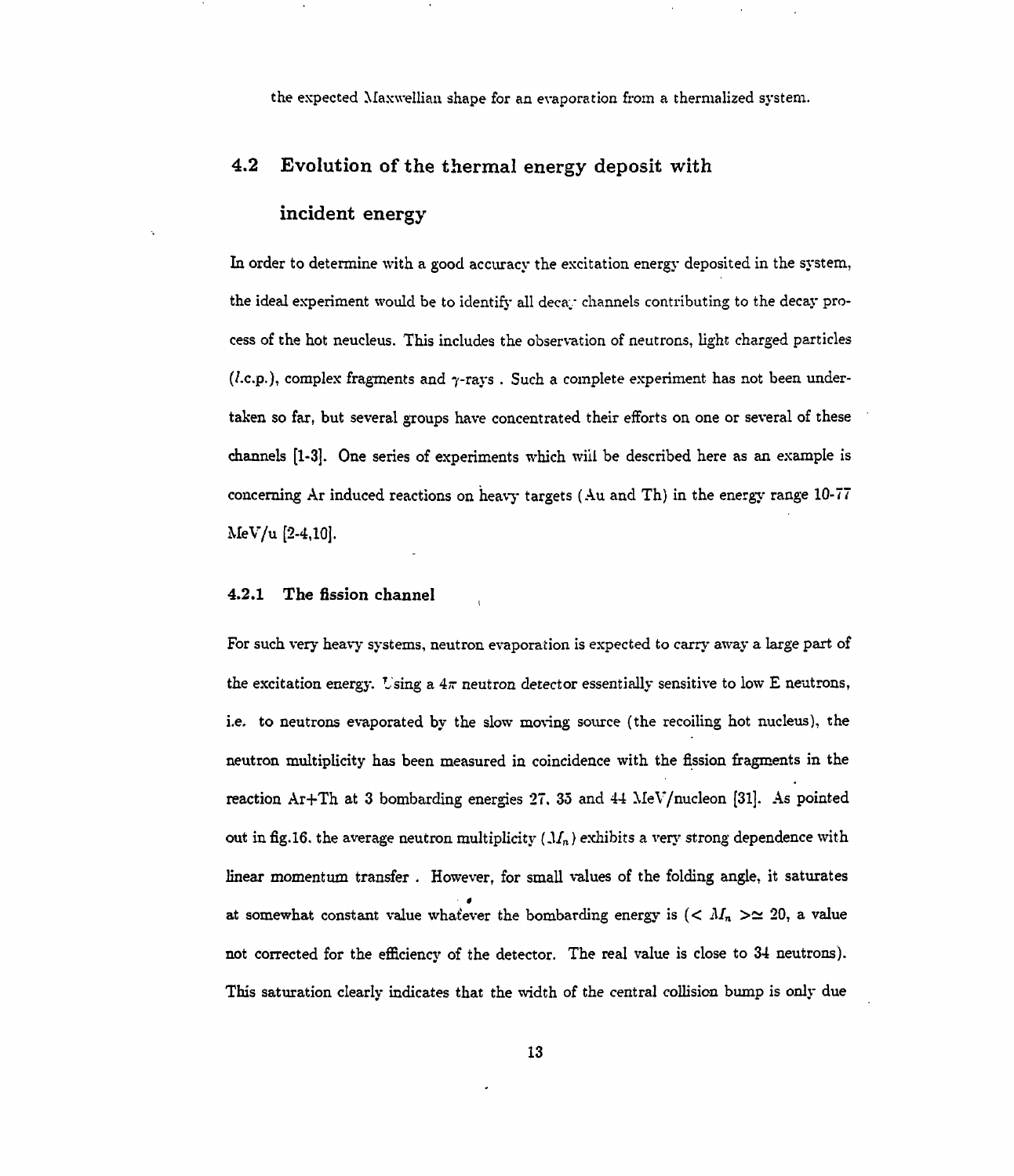the expected Maxwellian shape for an evaporation from a thermalized system.

### **4.2** Evolution of the thermal energy deposit with

#### incident energy

In order to determine with a good accuracy the excitation energy deposited in the system, the ideal experiment would be to identify all decay channels contributing to the decay process of the hot neucleus. This includes the observation of neutrons, light charged particles (*l.c.p.*), complex fragments and  $\gamma$ -rays . Such a complete experiment has not been undertaken so far, but several groups have concentrated their efforts on one or several of these channels [1-3]. One series of experiments which will be described here as an example is concerning Ar induced reactions on heavy targets (Au and Th) in the energy range 10-77 MeV/u [2-4,10].

### 4.2.1 The fission channel

For such very heavy systems, neutron evaporation is expected to carry away a large part of the excitation energy. Using a  $4\pi$  neutron detector essentially sensitive to low E neutrons, i.e. to neutrons evaporated by the slow moving source (the recoiling hot nucleus), the neutron multiplicity has been measured in coincidence with the fission fragments in the reaction Ar+Th at 3 bombarding energies  $27$ ,  $35$  and  $44$  MeV/nucleon [31]. As pointed out in fig.16. the average neutron multiplicity  $(M_n)$  exhibits a very strong dependence with linear momentum transfer . However, for small values of the folding angle, it saturates • « at somewhat constant value whatever the bombarding energy is  $( $M_n > \simeq 20$ , a value$ not corrected for the efficiency of the detector. The real value is close to 34 neutrons). This saturation clearly indicates that the width of the central collision bump is only due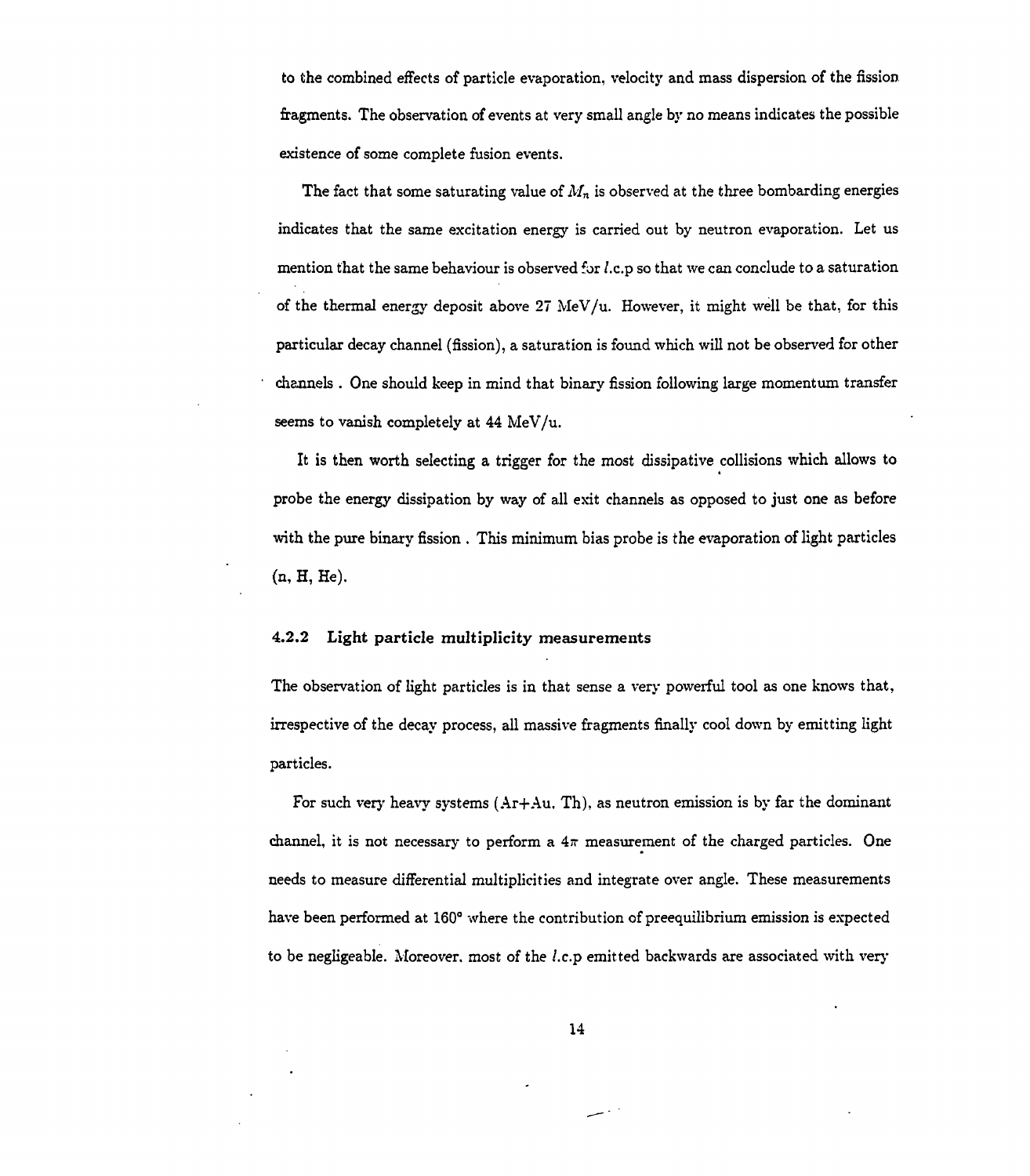to the combined effects of particle evaporation, velocity and mass dispersion of the fission fragments. The observation of events at very small angle by no means indicates the possible existence of some complete fusion events.

The fact that some saturating value of  $M_n$  is observed at the three bombarding energies indicates that the same excitation energy is carried out by neutron evaporation. Let us mention that the same behaviour is observed for  $l.c.p$  so that we can conclude to a saturation of the thermal energy deposit above 27 MeV/u. However, it might well be that, for this particular decay channel (fission), a saturation is found which will not be observed for other channels . One should keep in mind that binary fission following large momentum transfer seems to vanish completely at 44 MeV/u.

It is then worth selecting a trigger for the most dissipative collisions which allows to probe the energy dissipation by way of all exit channels as opposed to just one as before with the pure binary fission . This minimum bias probe is the evaporation of light particles (n, H, He).

#### 4.2.2 Light particle multiplicity measurements

The observation of light particles is in that sense a very powerful tool as one knows that, irrespective of the decay process, all massive fragments finally cool down by emitting light particles.

For such very heavy systems  $(Ar+Au, Th)$ , as neutron emission is by far the dominant channel, it is not necessary to perform a  $4\pi$  measurement of the charged particles. One needs to measure differential multiplicities and integrate over angle. These measurements have been performed at 160° where the contribution of preequilibrium emission is expected to be negligeable. Moreover, most of the *l.c.p* emitted backwards are associated with very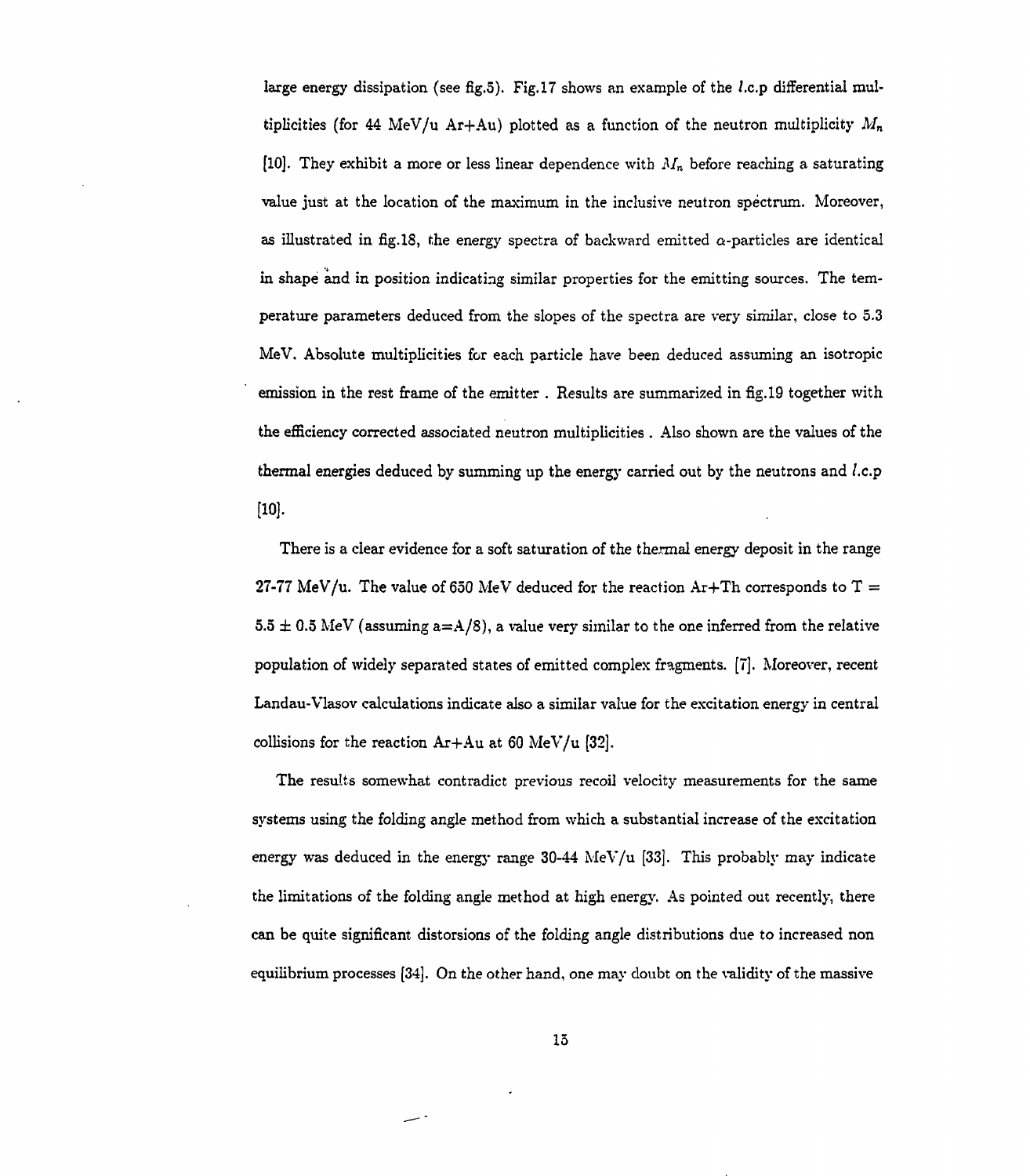large energy dissipation (see fig.5). Fig. 17 shows an example of the *l.c.p* differential multiplicities (for 44 MeV/u Ar+Au) plotted as a function of the neutron multiplicity  $M_n$ [10]. They exhibit a more or less linear dependence with *Mn* before reaching a saturating value just at the location of the maximum in the inclusive neutron spectrum. Moreover, as illustrated in fig. 18, the energy spectra of backward emitted  $\alpha$ -particles are identical in shape and in position indicating similar properties for the emitting sources. The temperature parameters deduced from the slopes of the spectra are very similar, close to 5.3 MeV. Absolute multiplicities for each particle have been deduced assuming an isotropic emission in the rest frame of the emitter . Results are summarized in fig.19 together with the efficiency corrected associated neutron multiplicities . Also shown are the values of the thermal energies deduced by summing up the energy carried out by the neutrons and /.c.p  $[10]$ .

There is a clear evidence for a soft saturation of the thermal energy deposit in the range 27-77 MeV/u. The value of 650 MeV deduced for the reaction  $Ar+Th$  corresponds to  $T =$ 5.5  $\pm$  0.5 MeV (assuming a=A/8), a value very similar to the one inferred from the relative population of widely separated states of emitted complex fragments. [7]. Moreover, recent Landau-Vlasov calculations indicate also a similar value for the excitation energy in central collisions for the reaction  $Ar+Au$  at 60 MeV/u [32].

The results somewhat contradict previous recoil velocity measurements for the same systems using the folding angle method from which a substantial increase of the excitation energy was deduced in the energy range  $30-44$  MeV/u [33]. This probably may indicate the limitations of the folding angle method at high energy. As pointed out recently, there can be quite significant distorsions of the folding angle distributions due to increased non equilibrium processes [34]. On the other hand, one may doubt on the validity of the massive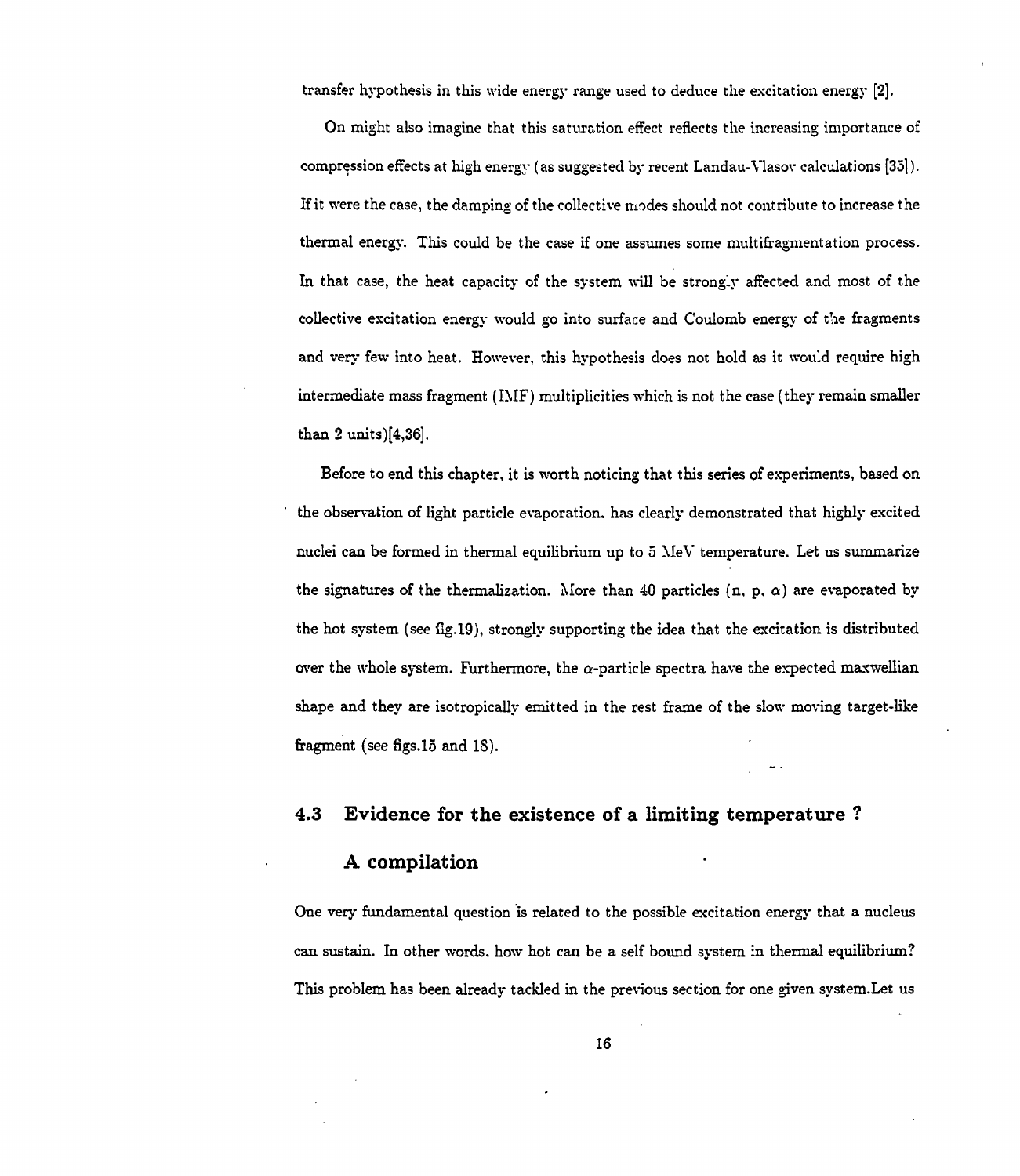transfer hypothesis in this wide energy range used to deduce the excitation energy [2].

On might also imagine that this saturation effect reflects the increasing importance of compression effects at high energy (as suggested by recent Landau-Vlasov calculations [35]). If it were the case, the damping of the collective modes should not contribute to increase the thermal energy. This could be the case if one assumes some multifragmentation process. In that case, the heat capacity of the system will be strongly affected and most of the collective excitation energy would go into surface and Coulomb energy of the fragments and very few into heat. However, this hypothesis does not hold as it would require high intermediate mass fragment (IMF) multiplicities which is not the case (they remain smaller than 2 units)[4,36],

Before to end this chapter, it is worth noticing that this series of experiments, based on the observation of light particle evaporation, has clearly demonstrated that highly excited nuclei can be formed in thermal equilibrium up to 5 MeV temperature. Let us summarize the signatures of the thermalization. More than 40 particles (n, p,  $\alpha$ ) are evaporated by the hot system (see fig.19), strongly supporting the idea that the excitation is distributed over the whole system. Furthermore, the  $\alpha$ -particle spectra have the expected maxwellian shape and they are isotropically emitted in the rest frame of the slow moving target-like fragment (see figs. 15 and 18).

#### **4.3 Evidence for the existence of a limiting temperature ?**

### **A compilation**

One very fundamental question is related to the possible excitation energy that a nucleus can sustain. In other words, how hot can be a self bound system in thermal equilibrium? This problem has been already tackled in the previous section for one given system.Let us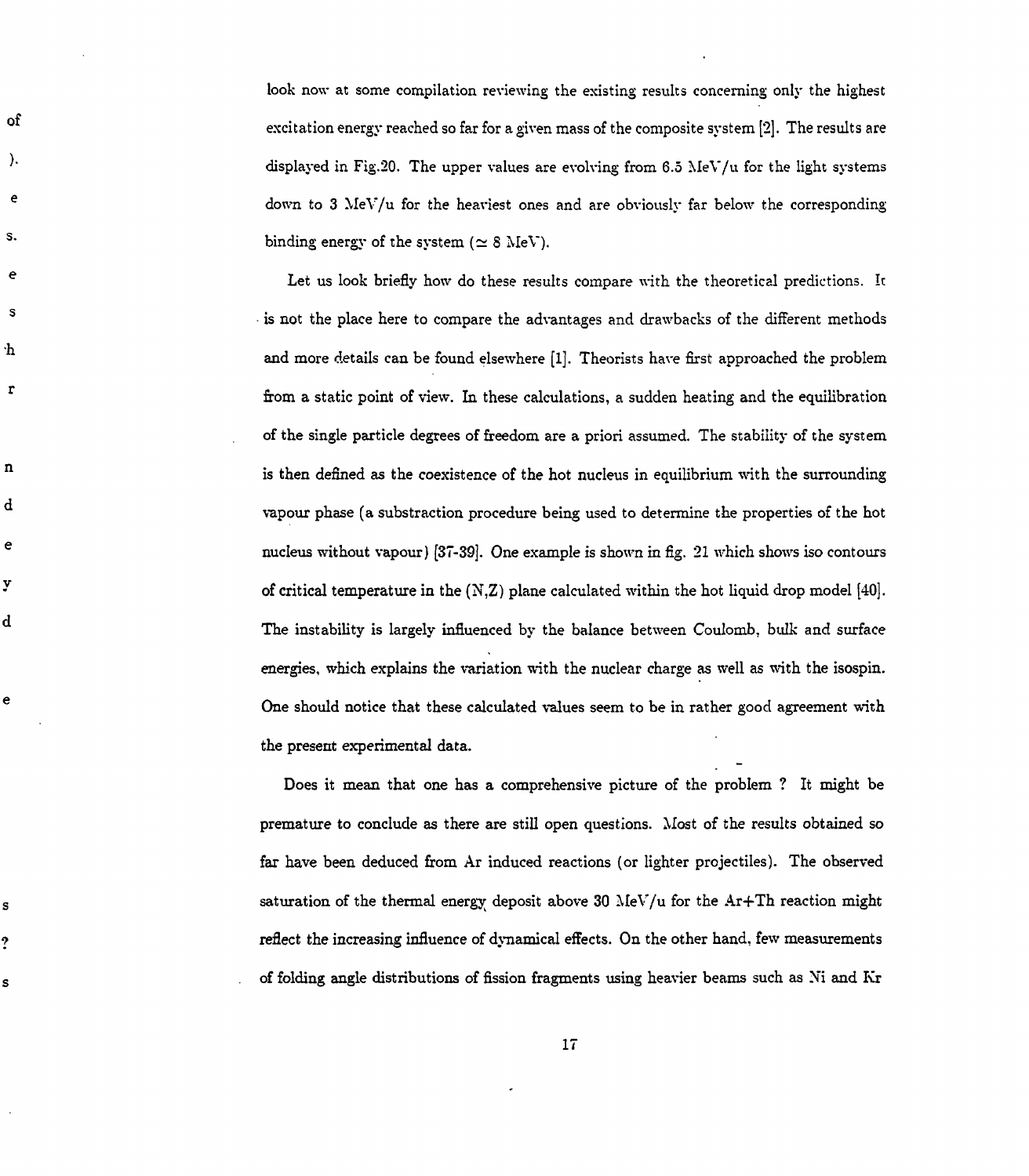look now at some compilation reviewing the existing results concerning only the highest excitation energy reached so far for a given mass of the composite system [2]. The results are displayed in Fig.20. The upper values are evolving from  $6.5$  MeV/u for the light systems down to 3 MeV/u for the heaviest ones and are obviously far below the corresponding binding energy of the system ( $\simeq$  8 MeV).

οf

↑.

e

s.

e

S

·h

 $\mathbf r$ 

 $\mathbf{n}$ 

d

e

y

d

e

S

?

S

Let us look briefly how do these results compare with the theoretical predictions. It is not the place here to compare the advantages and drawbacks of the different methods and more details can be found elsewhere [1]. Theorists have first approached the problem from a static point of view. In these calculations, a sudden heating and the equilibration of the single particle degrees of freedom are a priori assumed. The stability of the system is then defined as the coexistence of the hot nucleus in equilibrium with the surrounding vapour phase (a substraction procedure being used to determine the properties of the hot nucleus without vapour) [37-39]. One example is shown in fig. 21 which shows iso contours of critical temperature in the (N,Z) plane calculated within the hot liquid drop model [40]. The instability is largely influenced by the balance between Coulomb, bulk and surface energies, which explains the variation with the nuclear charge as well as with the isospin. One should notice that these calculated values seem to be in rather good agreement with the present experimental data.

Does it mean that one has a comprehensive picture of the problem ? It might be premature to conclude as there are still open questions. Most of the results obtained so far have been deduced from Ar induced reactions (or lighter projectiles). The observed saturation of the thermal energy deposit above 30 MeV/u for the Ar+Th reaction might reflect the increasing influence of dynamical effects. On the other hand, few measurements of folding angle distributions of fission fragments using heavier beams such as **Xi** and Kr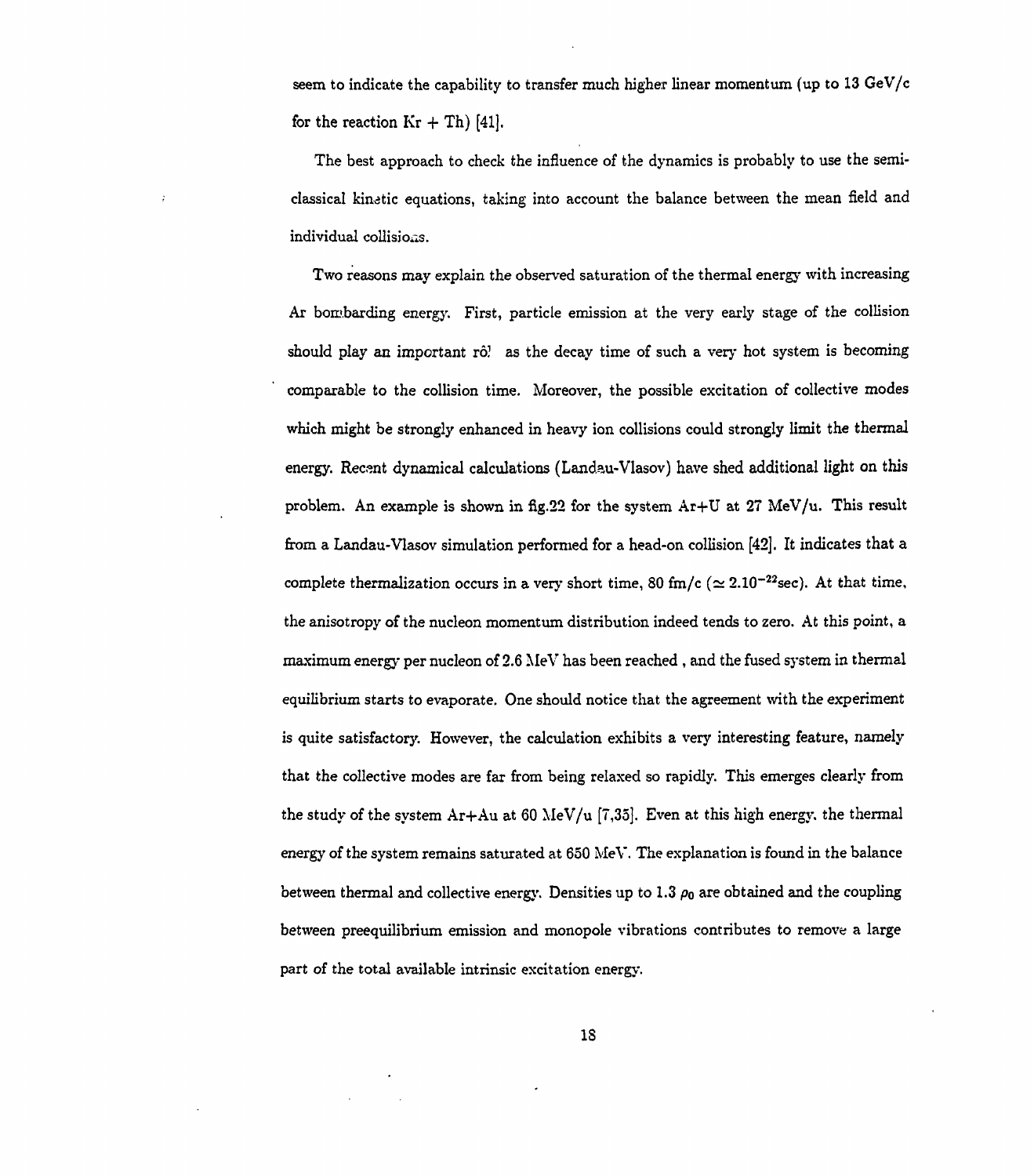seem to indicate the capability to transfer much higher linear momentum (up to 13 GeV/c for the reaction  $Kr + Th$  [41].

The best approach to check the influence of the dynamics is probably to use the semiclassical kinatic equations, taking into account the balance between the mean field and individual collisions.

Two reasons may explain the observed saturation of the thermal energy with increasing Ar bombarding energy. First, particle emission at the very early stage of the collision should play an important *TO!* as the decay time of such a very hot system is becoming comparable to the collision time. Moreover, the possible excitation of collective modes which might be strongly enhanced in heavy ion collisions could strongly limit the thermal energy. Recsnt dynamical calculations (Landau-Vlasov) have shed additional light on this problem. An example is shown in fig.22 for the system Ar+U at 27 MeV/u. This result from a Landau-Vlasov simulation performed for a head-on collision [42], It indicates that a complete thermalization occurs in a very short time, 80 fm/c ( $\simeq 2.10^{-22}$ sec). At that time, the anisotropy of the nucleon momentum distribution indeed tends to zero. At this point, a maximum energy per nucleon of 2.6 MeV has been reached , and the fused system in thermal equilibrium starts to evaporate. One should notice that the agreement with the experiment is quite satisfactory. However, the calculation exhibits a very interesting feature, namely that the collective modes are far from being relaxed so rapidly. This emerges clearly from the study of the system  $Ar+Au$  at 60 MeV/u [7,35]. Even at this high energy, the thermal energy of the system remains saturated at 650 MeV. The explanation is found in the balance between thermal and collective energy. Densities up to 1.3  $\rho_0$  are obtained and the coupling between preequilibrium emission and monopole vibrations contributes to remove a large part of the total available intrinsic excitation energy.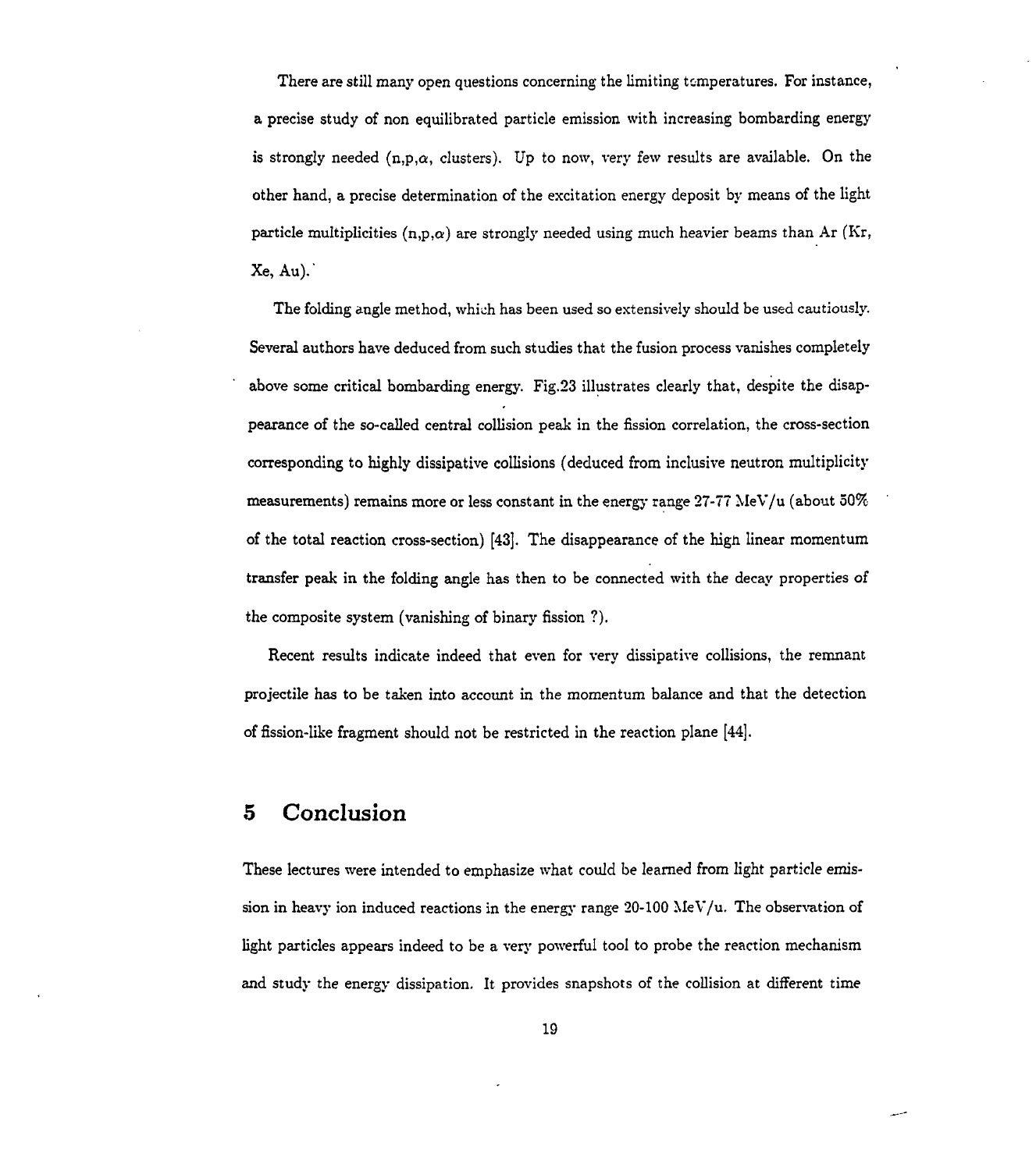There are still many open questions concerning the limiting temperatures. For instance, a precise study of non equilibrated particle emission with increasing bombarding energy is strongly needed  $(n,p,\alpha,$  clusters). Up to now, very few results are available. On the other hand, a precise determination of the excitation energy deposit by means of the light particle multiplicities  $(n,p,\alpha)$  are strongly needed using much heavier beams than Ar (Kr,  $Xe$ , Au).

The folding angle method, which has been used so extensively should be used cautiously. Several authors have deduced from such studies that the fusion process vanishes completely above some critical bombarding energy. Fig.23 illustrates clearly that, despite the disappearance of the so-called central collision peak in the fission correlation, the cross-section corresponding to highly dissipative collisions (deduced from inclusive neutron multiplicity measurements) remains more or less constant in the energy range  $27-77$  MeV/u (about  $50\%$ of the total reaction cross-section) [43], The disappearance of the hign linear momentum transfer peak in the folding angle has then to be connected with the decay properties of the composite system (vanishing of binary fission ?).

Recent results indicate indeed that even for very dissipative collisions, the remnant projectile has to be taken into account in the momentum balance and that the detection of fission-like fragment should not be restricted in the reaction plane [44].

# **5 Conclusion**

These lectures were intended to emphasize what could be learned from light particle emission in heavy ion induced reactions in the energy range  $20-100 \text{ MeV/u}$ . The observation of light particles appears indeed to be a very powerful tool to probe the reaction mechanism and study the energy dissipation. It provides snapshots of the collision at different time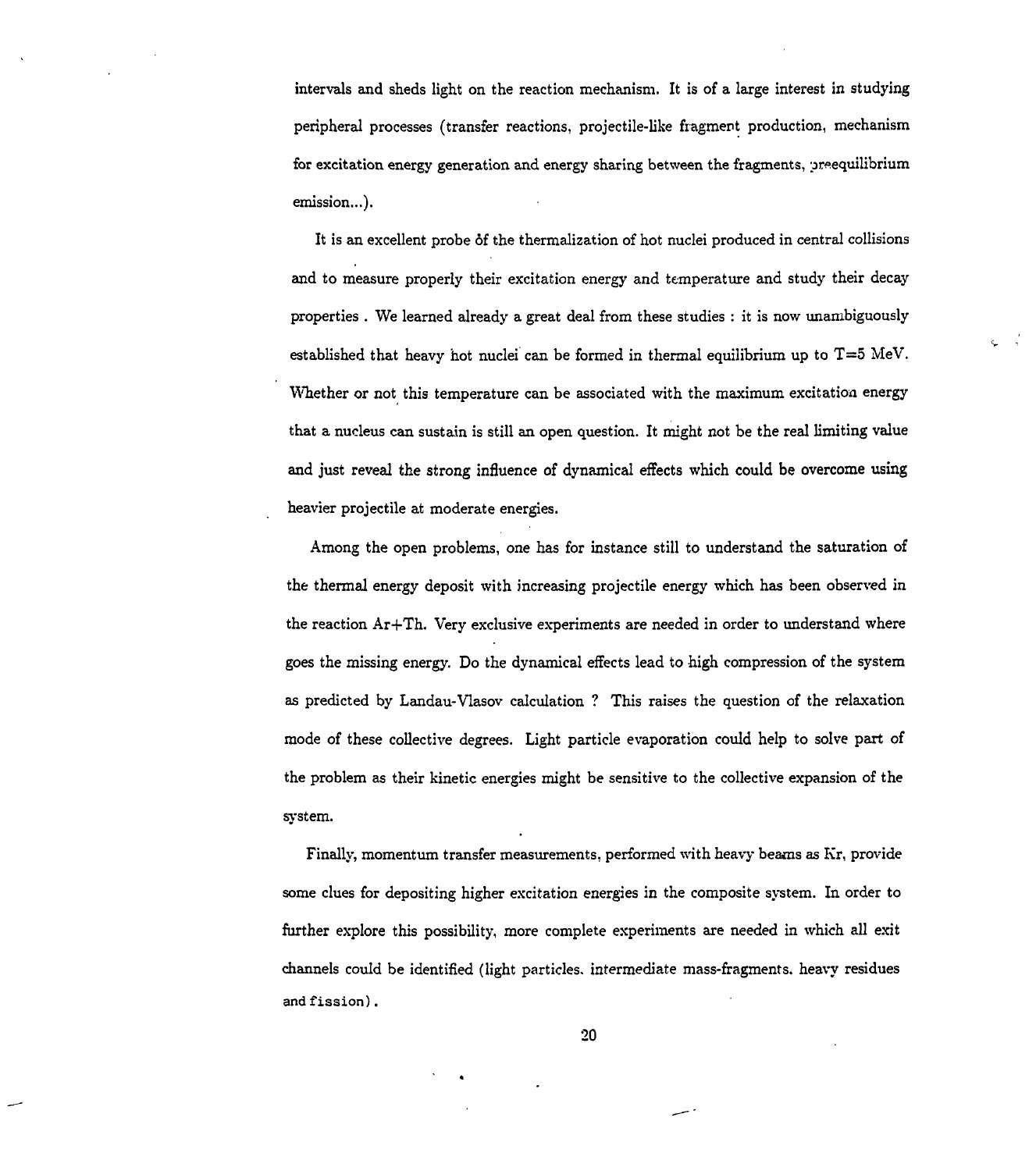intervals and sheds light on the reaction mechanism. It is of a large interest in studying peripheral processes (transfer reactions, projectile-like fragment production, mechanism for excitation energy generation and energy sharing between the fragments, preequilibrium emission...).

It is an excellent probe of the thermalization of hot nuclei produced in central collisions and to measure properly their excitation energy and temperature and study their decay properties . We learned already a great deal from these studies : it is now unambiguously established that heavy hot nuclei can be formed in thermal equilibrium up to  $T=5$  MeV. Whether or not this temperature can be associated with the maximum excitation energy that a nucleus can sustain is still an open question. It might not be the real limiting value and just reveal the strong influence of dynamical effects which could be overcome using heavier projectile at moderate energies.

¢.

Among the open problems, one has for instance still to understand the saturation of the thermal energy deposit with increasing projectile energy which has been observed in the reaction  $Ar+Th.$  Very exclusive experiments are needed in order to understand where goes the missing energy. Do the dynamical effects lead to high compression of the system as predicted by Landau-Vlasov calculation ? This raises the question of the relaxation mode of these collective degrees. Light particle evaporation could help to solve part of the problem as their kinetic energies might be sensitive to the collective expansion of the system.

Finally, momentum transfer measurements, performed with heavy beams as Kr, provide some clues for depositing higher excitation energies in the composite system. In order to further explore this possibility, more complete experiments are needed in which all exit channels could be identified (light particles, intermediate mass-fragments, heavy residues and fission).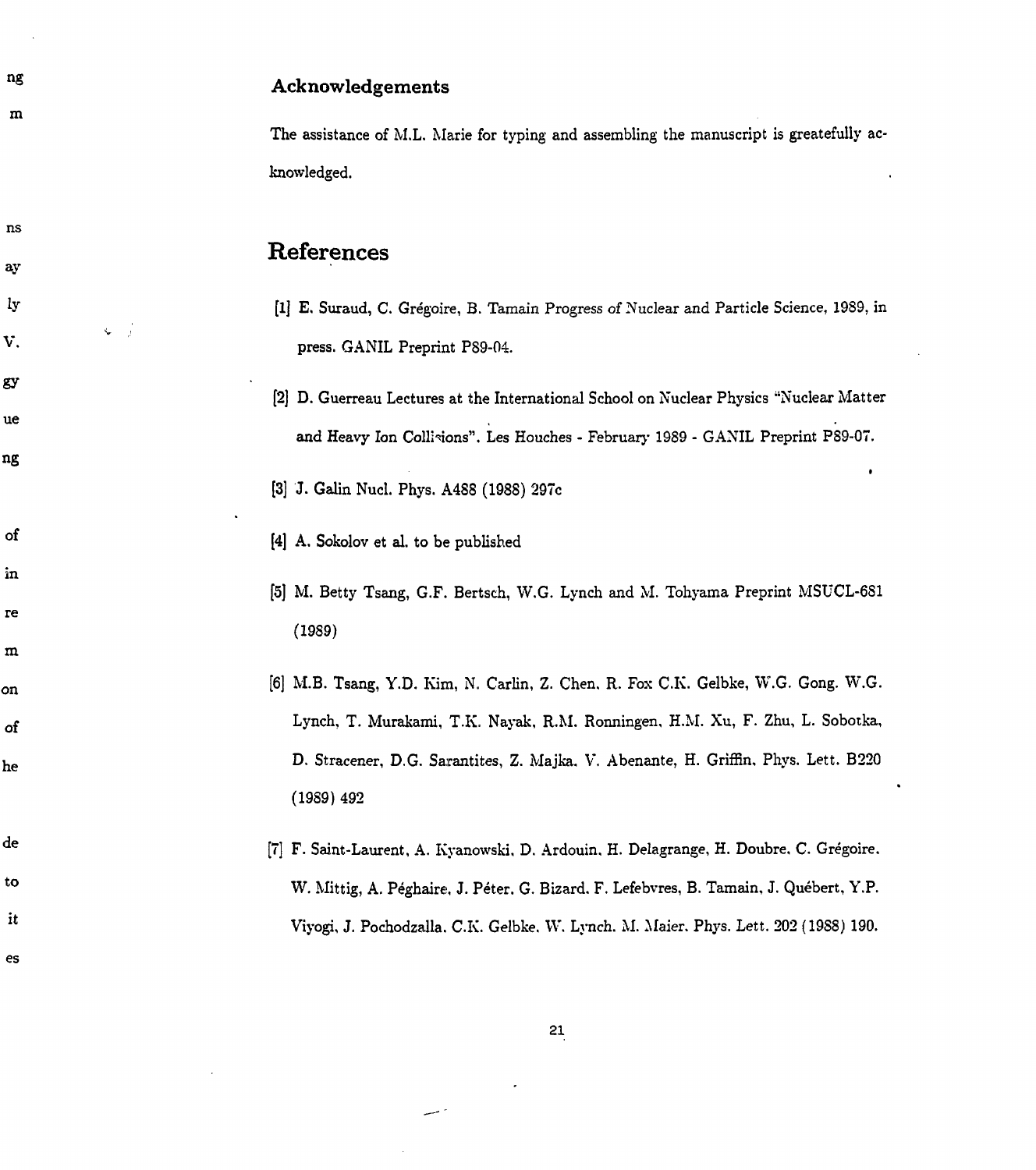ng **Acknowledgements**  $\mathbf{m}$ The assistance of M.L. Marie for typing and assembling the manuscript is greatefully acknowledged. ns **References** ay lу [lj E. Suraud, C. Gregoire, B. Tamain Progress of Nuclear and Particle Science, 1989, in  $\zeta = \frac{1}{2}$ V. press. GANIL Preprint P89-04. gy [2] D. Guerreau Lectures at the International School on Nuclear Physics "Nuclear Matter ue and Heavy Ion Collisions". Les Houches - February 1989 - GANIL Preprint PS9-07. ng t [3] J. Galin Nucl. Phys. A488 (1988) 297c

[4] A. Sokolov et al. to be published

of

in

 $re$ 

 $m$ 

on

οf

he

de

to

it

es

- [5] M. Betty Tsang, G.F. Bertsch, W.G. Lynch and M. Tohyama Preprint MSUCL-681 (1989)
- [6] M.B. Tsang, Y.D. Kim, N. Carlin, Z. Chen. R. Fox O.K. Gelbke, W.G. Gong. W.G. Lynch, T. Murakami, T.K. Nayak, R.M. Ronningen, H.M. Xu, F. Zhu, L. Sobotka, D. Stracener, D.G. Sarantites, Z. Majka, V. Abenante, H. Griffin, Phys. Lett. B220 (19S9) 492
	- [7] F. Saint-Laurent, A. Kyanowski, D. Ardouin. H. Delagrange, H. Doubre, C. Gregoire, W. Mittig, A. Peghaire, J. Peter. G. Bizard. F. Lefebvres, B. Tamain, J. Quebert, Y.P. Viyogi, J. Pochodzalla. C.K. Gelbke. W. Lynch. M. Maier. Phys. Lett. 202 (1988) 190.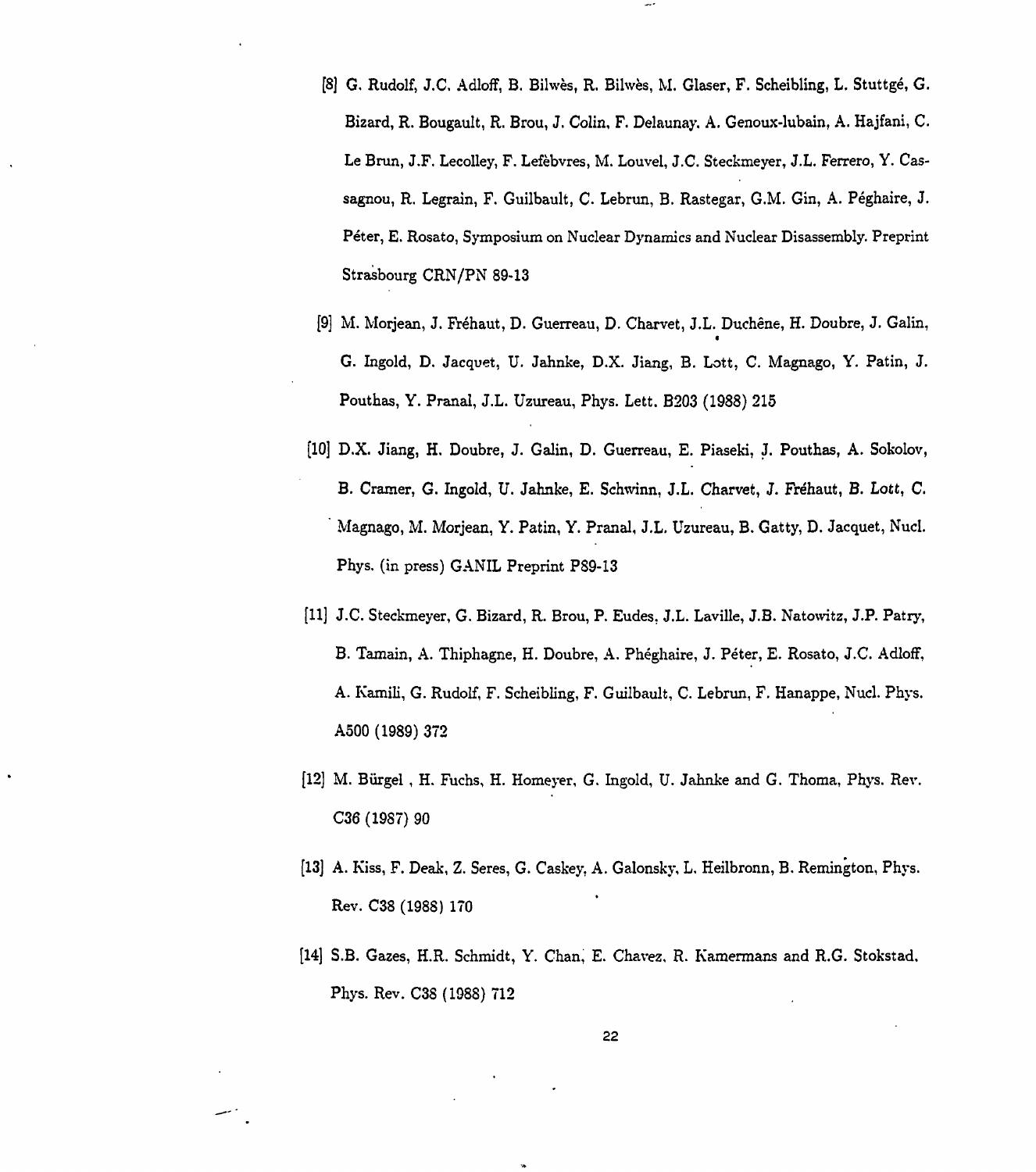- [8] G. Rudolf, J.C. Adloff, B. Bilwès, R. Bilwès, M. Glaser, F. Scheibling, L. Stuttgé, G. Bizard, R. Bougault, R. Brou, J. Colin, F. Delaunay. A. Genoux-lubain, A. Hajfani, C. Le Brun, J.F. Lecolley, F. Lefèbvres, M. Louvel, J.C. Steckmeyer, J.L. Ferrero, Y. Cassagnou, R. Legrain, F. Guilbault, C. Lebrun, B. Rastegar, G.M. Gin, A. Péghaire, J. Péter, E. Rosato, Symposium on Nuclear Dynamics and Nuclear Disassembly. Preprint Strasbourg CRN/PN 89-13
- [9] M. Morjean, J. Fréhaut, D. Guerreau, D. Charvet, J.L. Duchêne, H. Doubre, J. Galin,  $\ddot{\phantom{0}}$ G. Ingold, D. Jacquet, U. Jahnke, D.X. Jiang, B. Lott, C. Magnago, Y. Patin, J. G. Ingold, D. Jacquet, U. Jahnke, D.X. Jiang, B. Lott, C. Magnago, Y. Patin, J. Pouthas, Y. Pranal, J.L. Uzureau, Phys. Lett. B203 (1988) 215 Pouthas, Y. Pranal, J.L. Uzureau, Phys. Lett. B203 (1988) 215
- [10] D.X. Jiang, H. Doubre, J. Galin, D. Guerreau, E. Piaseki, J. Pouthas, A. Sokolov, B. Cramer, G. Ingold, U. Jahnke, E. Schwinn, J.L. Charvet, J. Fréhaut, B. Lott, C. Magnago, M. Morjean, Y. Patin, Y. Pranal, J.L. Uzureau, B. Gatty, D. Jacquet, Nucl. Phys. (in press) GANIL Preprint PS9-13
- [11] J.C. Steckmeyer, G. Bizard, R. Brou, P. Eudes, J.L. Laville, J.B. Natowitz, J.P. Patry, B. Tamain, A. Thiphagne, H. Doubre, A. Phéghaire, J. Péter, E. Rosato, J.C. Adloff, A. Kamili, G. Rudolf, F. Scheibling, F. Guilbault, C. Lebrun, F. Hanappe, Nucl. Phys. A500 (1989) 372
- [12] M. Biirgel , H. Fuchs, H. Homeyer, G. Ingold, U. Jahnke and G. Thoma, Phys. Rev. C36 (19S7) 90
- [13] A. Kiss, F. Deak, Z. Seres, G. Caskey, A. Galonsky, L. Heilbronn, B. Remington, Phys. Rev. C38 (1988) 170
- [14] S.B. Gazes, H.R. Schmidt, Y. Chan, E. Chavez, R. Kamermans and R.G. Stokstad, Phys. Rev. C3S (1988) 712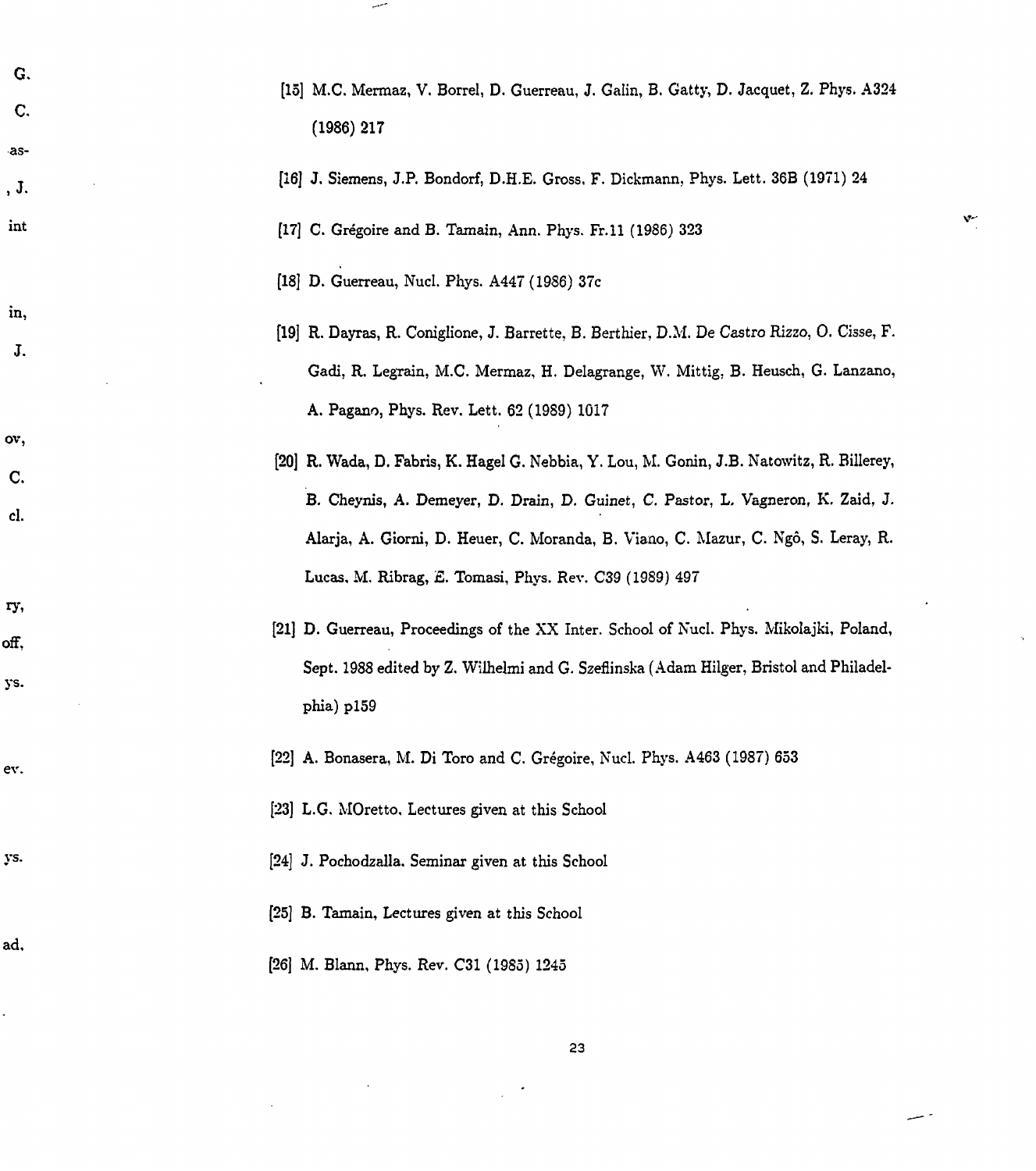| G.<br>$\mathbf{C}$<br>-as- | [15] M.C. Mermaz, V. Borrel, D. Guerreau, J. Galin, B. Gatty, D. Jacquet, Z. Phys. A324<br>$(1986)$ 217                                                                                                                                                             |
|----------------------------|---------------------------------------------------------------------------------------------------------------------------------------------------------------------------------------------------------------------------------------------------------------------|
| , J.                       | [16] J. Siemens, J.P. Bondorf, D.H.E. Gross, F. Dickmann, Phys. Lett. 36B (1971) 24                                                                                                                                                                                 |
| int                        | [17] C. Grégoire and B. Tamain, Ann. Phys. Fr.11 (1986) 323                                                                                                                                                                                                         |
|                            | [18] D. Guerreau, Nucl. Phys. A447 (1986) 37c                                                                                                                                                                                                                       |
| in,<br>J.                  | [19] R. Dayras, R. Coniglione, J. Barrette, B. Berthier, D.M. De Castro Rizzo, O. Cisse, F.<br>Gadi, R. Legrain, M.C. Mermaz, H. Delagrange, W. Mittig, B. Heusch, G. Lanzano,<br>A. Pagano, Phys. Rev. Lett. 62 (1989) 1017                                        |
| ov,<br>C.<br>cl.           | [20] R. Wada, D. Fabris, K. Hagel G. Nebbia, Y. Lou, M. Gonin, J.B. Natowitz, R. Billerey,<br>B. Cheynis, A. Demeyer, D. Drain, D. Guinet, C. Pastor, L. Vagneron, K. Zaid, J.<br>Alarja, A. Giorni, D. Heuer, C. Moranda, B. Viano, C. Mazur, C. Ngô, S. Leray, R. |
| ry,<br>off,<br>ys.         | Lucas, M. Ribrag, E. Tomasi, Phys. Rev. C39 (1989) 497<br>[21] D. Guerreau, Proceedings of the XX Inter. School of Nucl. Phys. Mikolajki, Poland,<br>Sept. 1988 edited by Z. Wilhelmi and G. Szeflinska (Adam Hilger, Bristol and Philadel-<br>phia) p159           |
| ev.                        | [22] A. Bonasera, M. Di Toro and C. Grégoire, Nucl. Phys. A463 (1987) 653<br>[23] L.G. MOretto, Lectures given at this School                                                                                                                                       |
| ys.                        | [24] J. Pochodzalla. Seminar given at this School                                                                                                                                                                                                                   |
| ad,                        | [25] B. Tamain, Lectures given at this School<br>[26] M. Blann, Phys. Rev. C31 (1985) 1245                                                                                                                                                                          |

 $\ddot{\phantom{0}}$ 

 $\ddot{\phantom{0}}$ 

سبب

 $\overline{\phantom{a}}$ 

 $\mathbf{v}$ .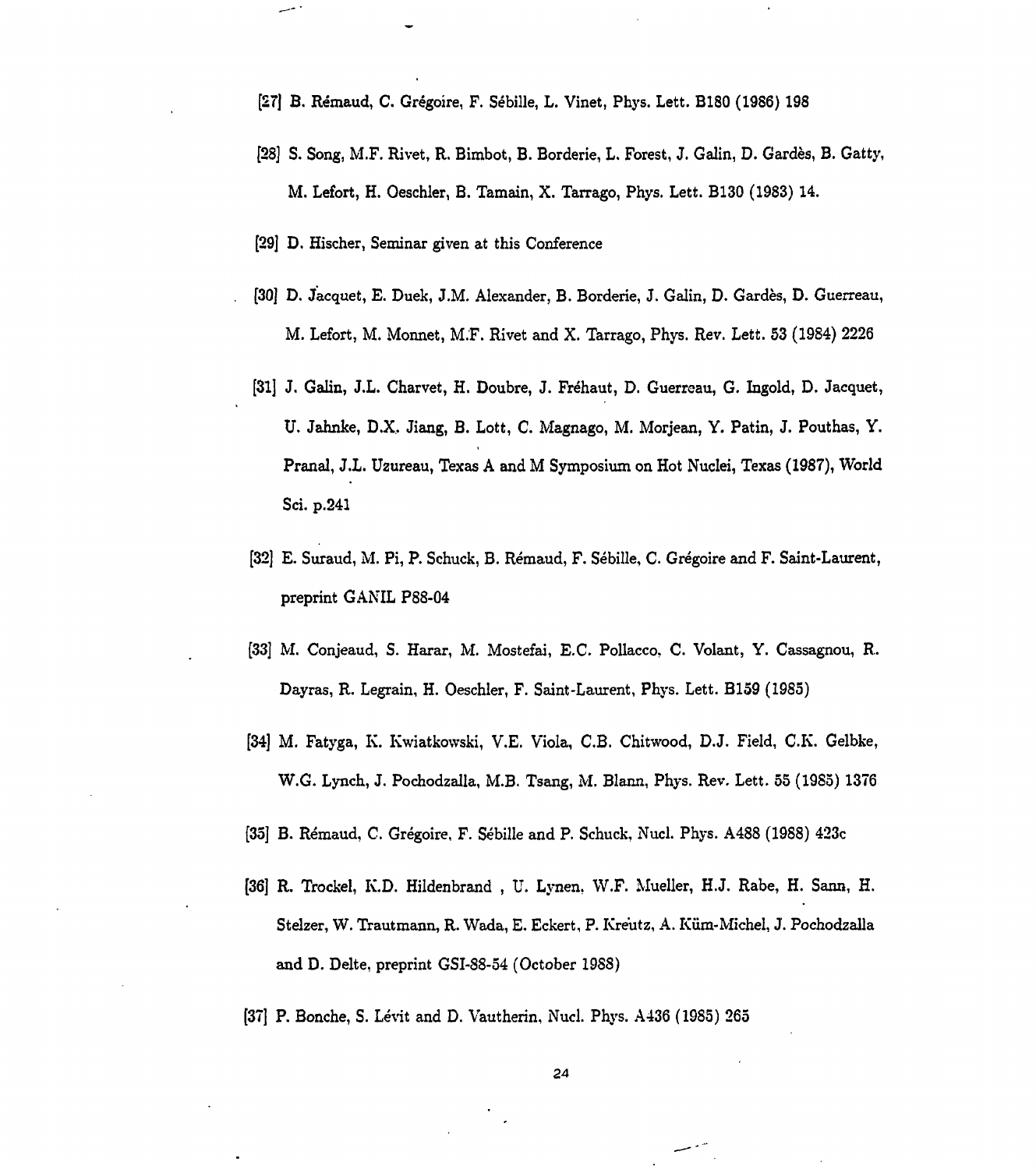- [27] B. Rémaud, C. Grégoire, F. Sébille, L. Vinet, Phys. Lett. B180 (1986) 198
- [28] S. Song, M.F. Rivet, R. Bimbot, B. Borderie, L. Forest, J. Galin, D. Gardés, B. Gatty, M. Lefort, H. Oeschler, B. Tamain, X. Tarrago, Phys. Lett. B130 (1983) 14.
- [29] D. Hischer, Seminar given at this Conference
- [30] D. Jacquet, E. Duek, J.M. Alexander, B. Borderie, J. Galin, D. Gardes, D. Guerreau, M. Lefort, M. Monnet, M.F. Rivet and X. Tarrago, Phys. Rev. Lett. 53 (1984) 2226
- [31] J. Galin, J.L. Charvet, H. Doubre, J. Fréhaut, D. Guerreau, G. Ingold, D. Jacquet, U. Jahnke, D.X. Jiang, B. Lott, C. Magnago, M. Morjean, Y. Patin, J. Pouthas, Y. Pranal, J.L. U2ureau, Texas A and M Symposium on Hot Nuclei, Texas (1987), World Sci. p.241
- [32] E. Suraud, M. Pi, P. Schuck, B. Rémaud, F. Sébille, C. Grégoire and F. Saint-Laurent, preprint GANIL P88-04
- [33] M. Conjeaud, S. Harar, M. Mostefai, E.C. Pollacco. C. Volant, Y. Cassagnou, R. Dayras, R. Legrain, H. Oeschler, F. Saint-Laurent, Phys. Lett. B159 (1985)
- [34] M. Fatyga, K. Kwiatkowski, V.E. Viola, C.B. Chitwood, D.J. Field, C.K. Gelbke, W.G. Lynch, J. Pochodzalla, M.B. Tsang, M. Blann, Phys. Rev. Lett. 55 (1985) 1376
- [35] B. Rémaud, C. Grégoire, F. Sébille and P. Schuck, Nucl. Phys. A488 (1988) 423c
- [36] R. Trockel, K.D. Hildenbrand , U. Lynen, W.F. Mueller, H.J. Rabe, H. Sann, H. Stelzer, W. Trautmann, R. Wada, E. Eckert, P. Kreutz, A. Kum-Michel, J. Pochodzalla and D. Delte, preprint GSI-88-54 (October 1988)
- [37] P. Bonche, S. Lévit and D. Vautherin, Nucl. Phys. A436 (1985) 265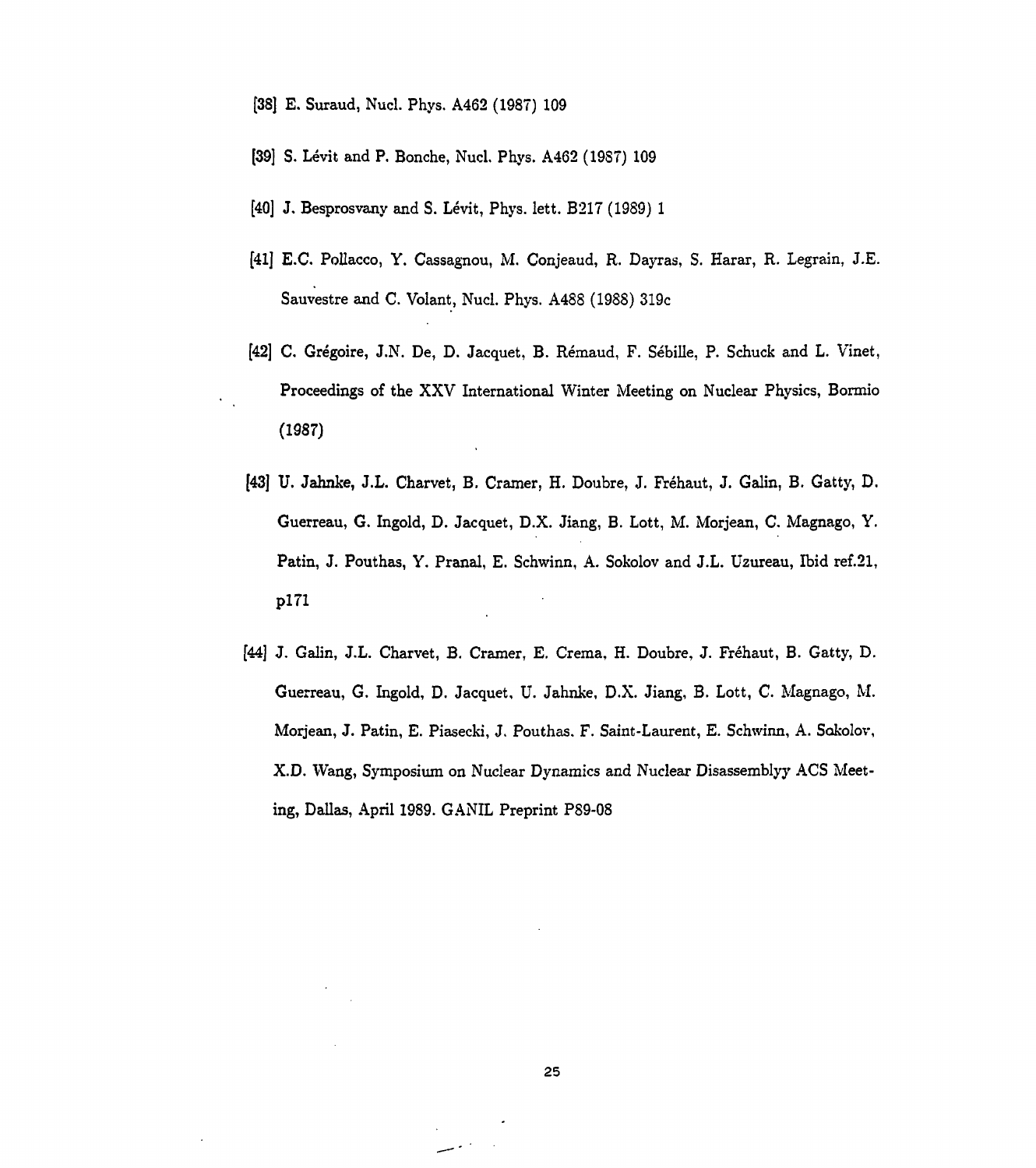- [38] E. Suraud, Nucl. Phys. A462 (1987) 109
- [39] S. Lévit and P. Bonche, Nucl. Phys. A462 (19S7) 109
- [40] J. Besprosvany and S. Lévit, Phys. lett. B217 (1989) 1
- [41] E.C. PoUacco, Y. Cassagnou, M. Conjeaud, R. Dayras, S. Harar, R. Legrain, J.E. Sauvestre and C. Volant, Nucl. Phys. A4SS (1988) 319c
- [42] C. Grégoire, J.N. De, D. Jacquet, B. Rémaud, F. Sébille, P. Schuck and L. Vinet, Proceedings of the XXV International Winter Meeting on Nuclear Physics, Bormio (1987)
- [43] U. Jahnke, J.L. Charvet, B. Cramer, H. Doubre, J. Fréhaut, J. Galin, B. Gatty, D. Guerreau, G. Ingold, D. Jacquet, D.X. Jiang, B. Lott, M. Morjean, C. Magnago, Y. Patin, J. Pouthas, Y. Pranal, E. Schwinn, A. Sokolov and J.L. Uzureau, Ibid ref.21, pl71
- [44] J. Galin, J.L. Charvet, B. Cramer, E. Crema, H. Doubre, J. Fréhaut, B. Gatty, D. Guerreau, G. Ingold, D. Jacquet, U. Jahnke, D.X. Jiang, B. Lott, C. Magnago, M. Morjean, J. Patin, E. Piasecki, J. Pouthas. F. Saint-Laurent, E. Schwinn, A. Sokolov, X.D. Wang, Symposium on Nuclear Dynamics and Nuclear Disassembly}' ACS Meeting, Dallas, April 1989. G ANIL Preprint P89-08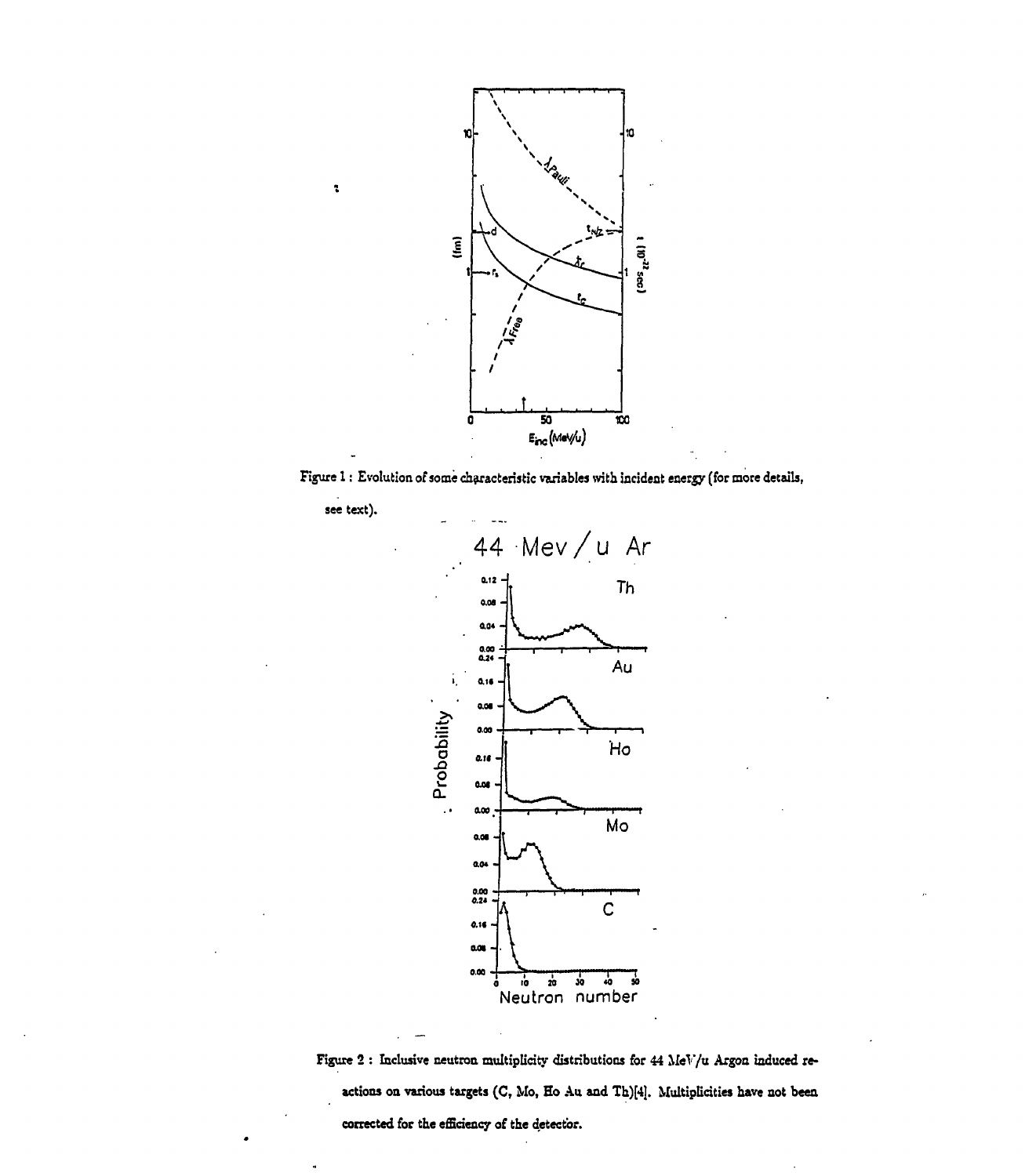

**Figure 1 : Evolution of some characteristic variables with incident energy (for more details,**

**see text).**

ł.



**Figure 2 : Inclusive neutron multiplicity distributions for 44 MeV/u Argon induced re\* actions on various targets (C, Mo, Ho Au and Th)[4). Multiplicities have not been corrected for the efficiency of the detector.**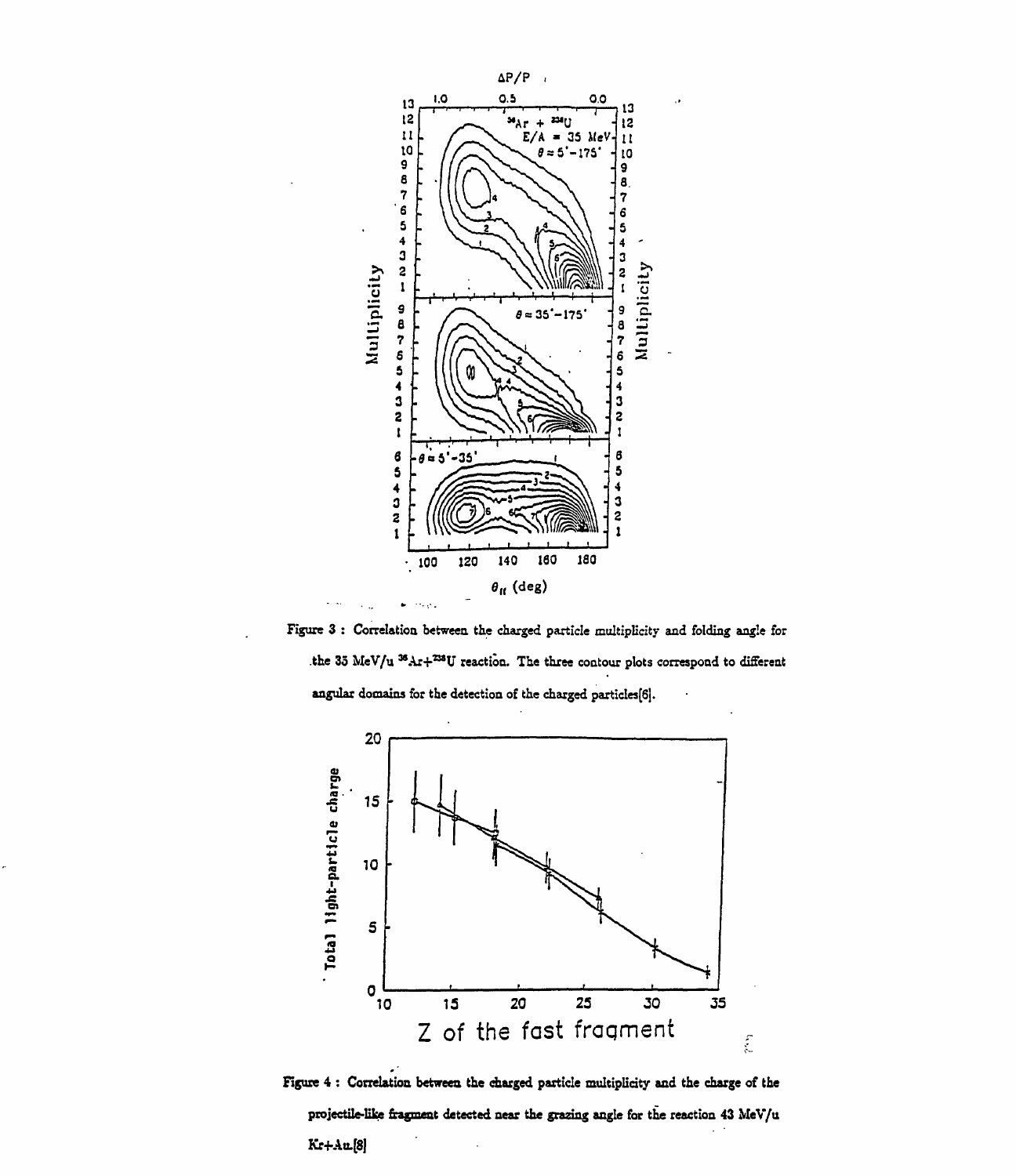

Figure 3 : Correlation between the charged particle multiplicity and folding angle for the 35 MeV/u <sup>36</sup>Ar+<sup>238</sup>U reaction. The three contour plots correspond to different angular domains for the detection of the charged particles[6|.



**Figure 4 : Correlation between the charged particle multiplicity and the charge of the projectile-like fragment detected near the grazing angle for the reaction 43 MeV/u Kr+Au.[8]**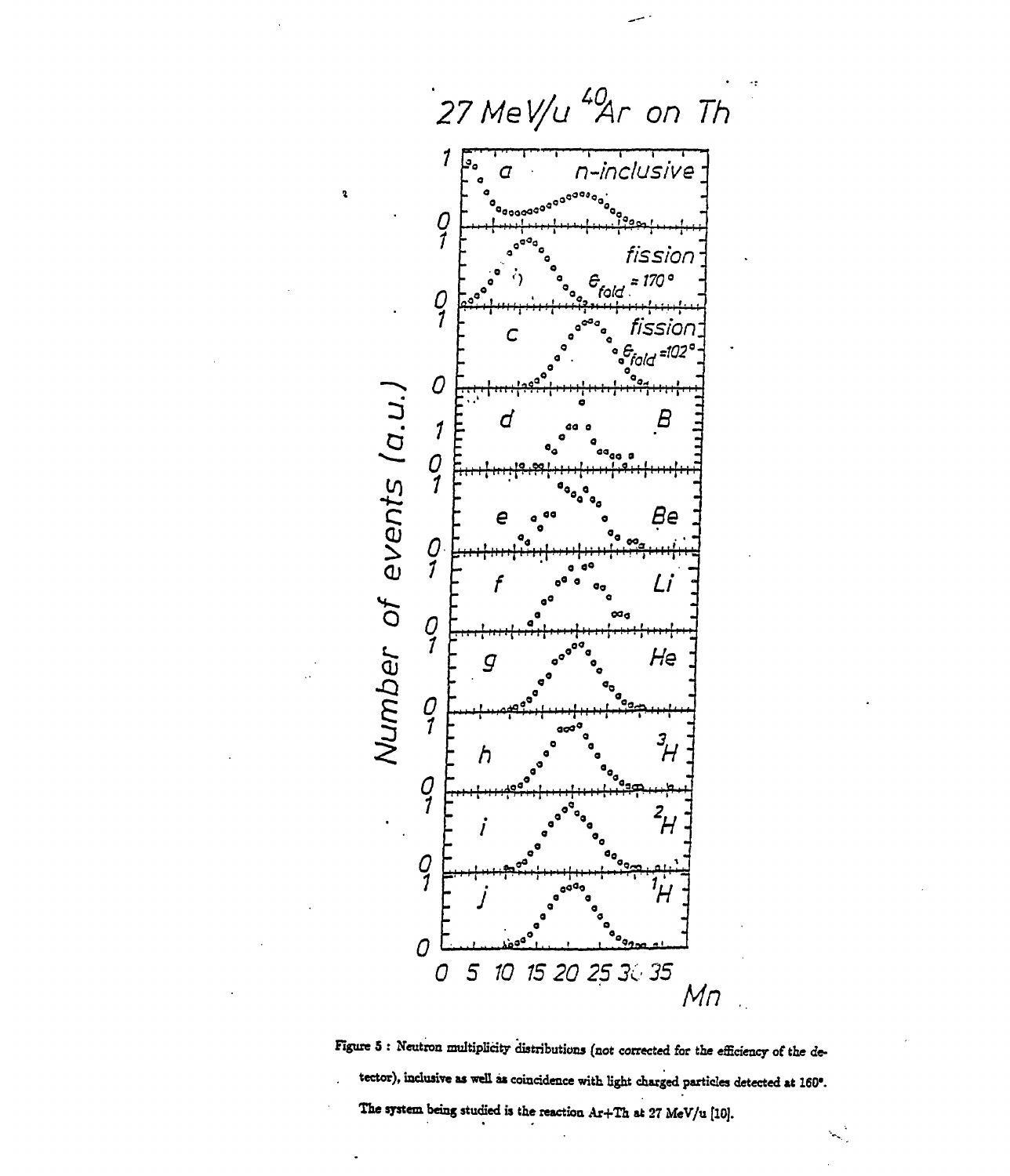

 $\overline{\mathbf{z}}$ 

Figure 5 : Neutron multiplicity distributions (not corrected for the efficiency of the detector), inclusive as well as coincidence with light charged particles detected at 160°. The system being studied is the reaction Ar+Th at 27 MeV/u [10].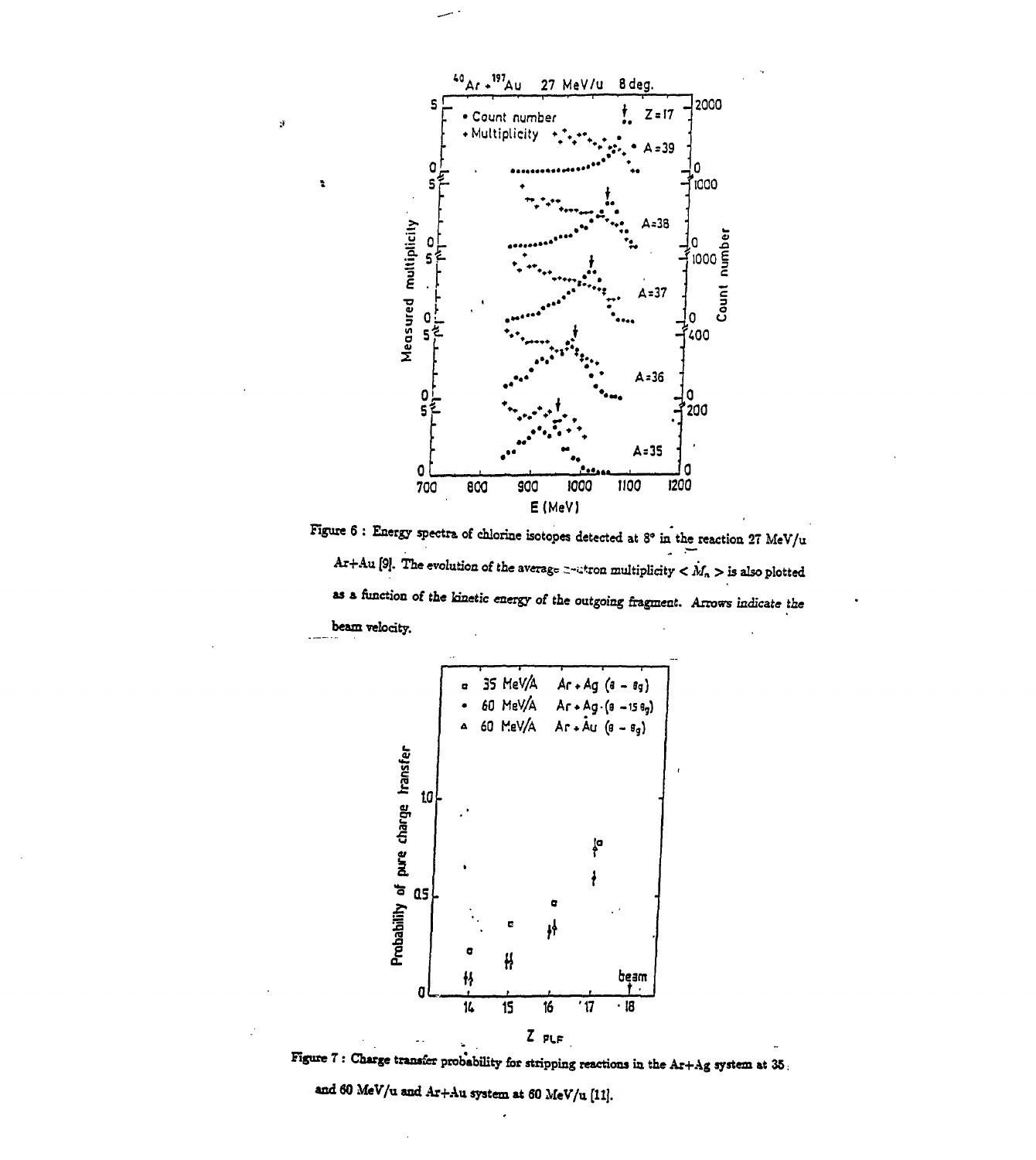

 $\mathcal{F}$ 

 $\ddot{\bullet}$ 

Figure 6 : Energy spectra of chlorine isotopes detected at  $8^{\circ}$  in the reaction  $27 \text{ MeV/u}$ Ar+Au [9]. The evolution of the average z-atron multiplicity  $\lt M_n >$  is also plotted as a function of the kinetic energy of the outgoing fragment. Arrows indicate the beam velocity.



Figure 7 : Charge transfer probability for stripping reactions in the  $Ar+Ag$  system at 35.

and 60 MeV/u and Ar+Au system at 60 MeV/u [11].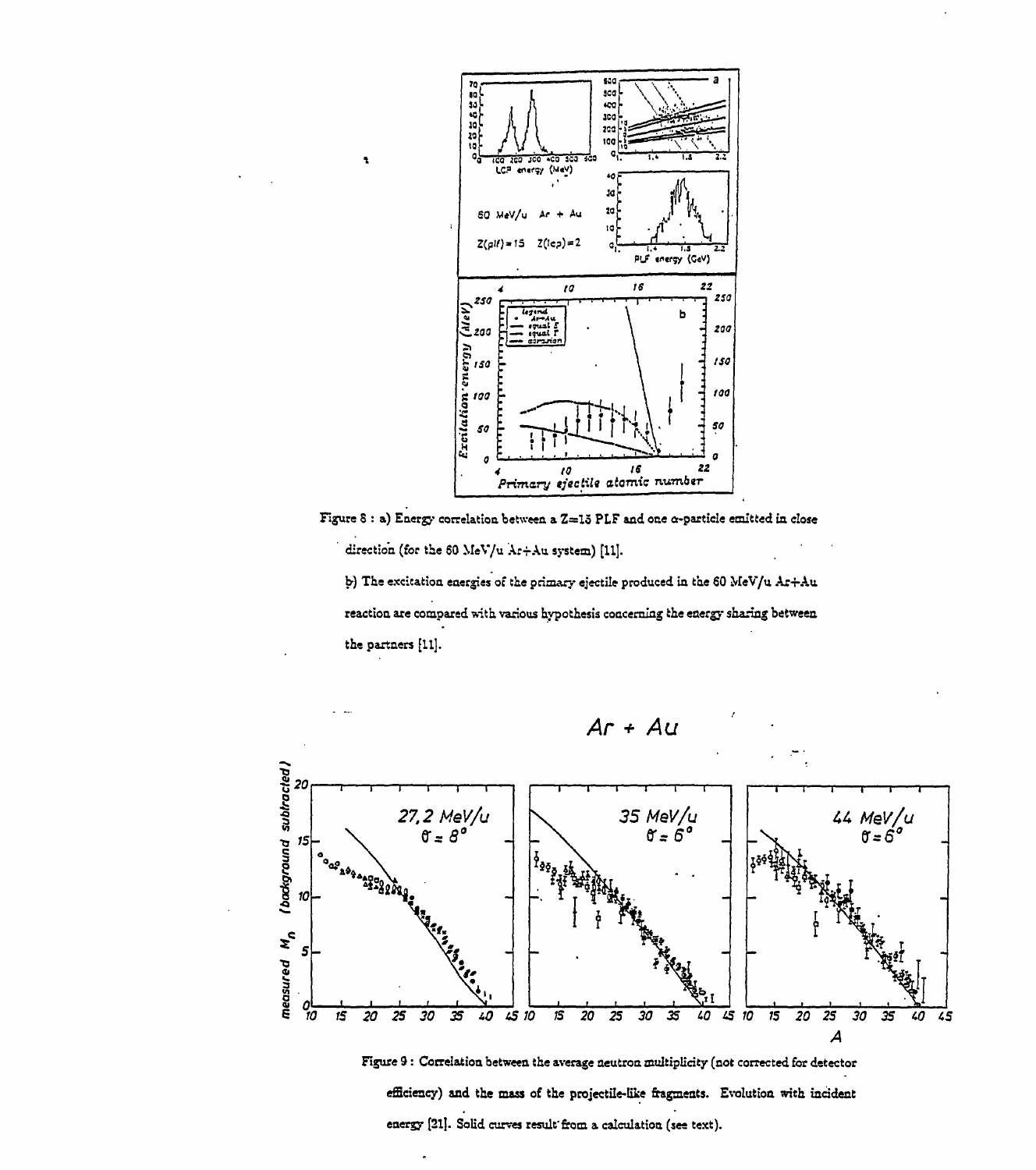

Figure 8 : a) Energy correlation between a Z=15 PLF and one  $\alpha$ -particle emitted in close direction (for the 60 MeV/u Ar+Au system) [11]. b) The excitation energies of the primary ejectile produced in the 60 MeV/u Ar+Au

reaction are compared with various hypothesis concerning the energy sharing between the partners [11].



Figure 9 : Correlation between the average neutron multiplicity (not corrected for detector efficiency) and the mass of the projectile-like fragments. Evolution with incident energy [21]. Solid curves result from a calculation (see text).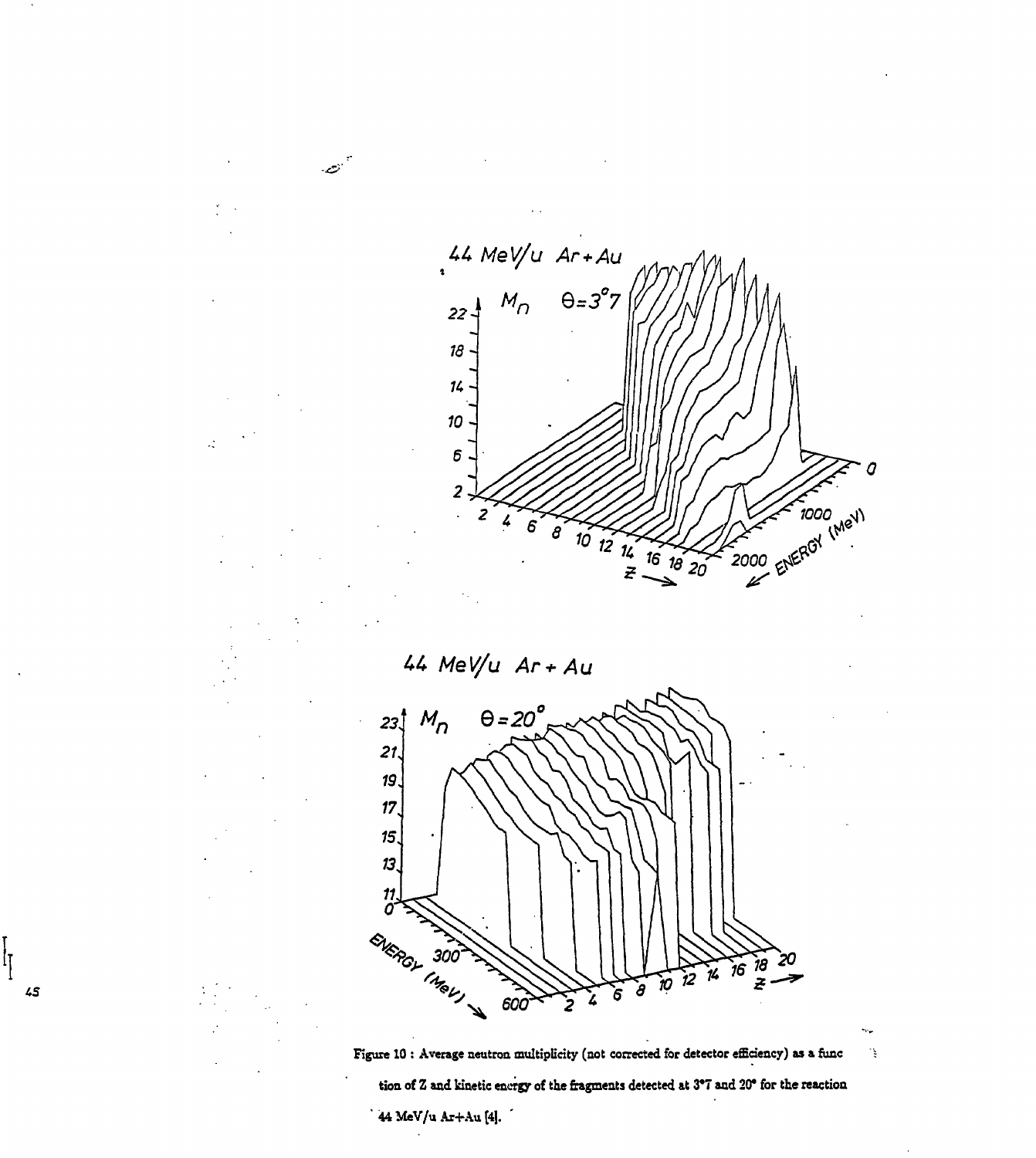

 $44$  MeV/u  $Ar + Au$ 

انتصر.





٠į

tion of  $Z$  and kinetic energy of the fragments detected at  $3^{\circ}7$  and  $20^{\circ}$  for the reaction

44 MeV/u Ar+Au [4].

|<br>|<br>|

 $45\,$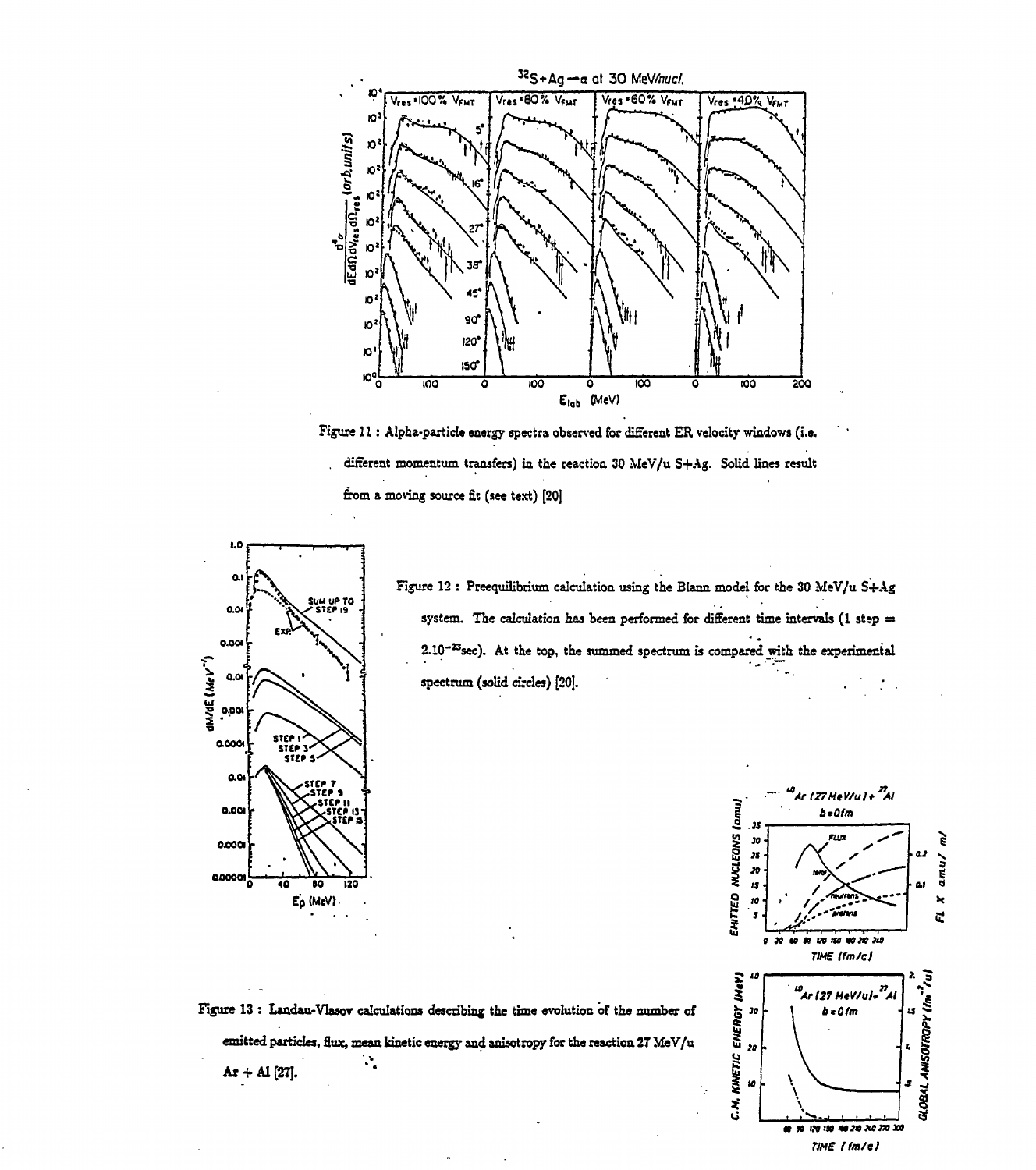

Figure 11 : Alpha-particle energy spectra observed for different ER velocity windows (i.e. . different momentum transfers) in the reaction 30 MeV/u S+Ag. Solid lines result from a moving source £t (see text) [20]



Figure 12 : Preequilibrium calculation using the Blann model for the 30 MeV/u S+Ag system. The calculation has been performed for different time intervals (1 step  $=$ 2.1Q~<sup>23</sup>sec). At the top, the summed spectrum is compared with the experimental spectrum (solid circles) [20].

 $b = 0$ fm **•5 » i \*•** ç *nu\** n. J **8 »• 3 « • ai s**  $\blacktriangleright$  $\mathbb{Z}$ ć. *s • U m IMISB :*  $\bullet$ 50 *TIMS tfm/ej* (HeV) GLOBAL ANISOTROPY (Im 1u) us<br>Ar (27 MeV/ul+<sup>27</sup> C.M. KINETIC ENERGY 30  $b = 0/m$  $\mathbf{z}$ 10 00 90 120 150 NO 210 210 270 300 *TIME (fm/ej*

uo<br>Ar (27 MeV/u) + <sup>27</sup>Al

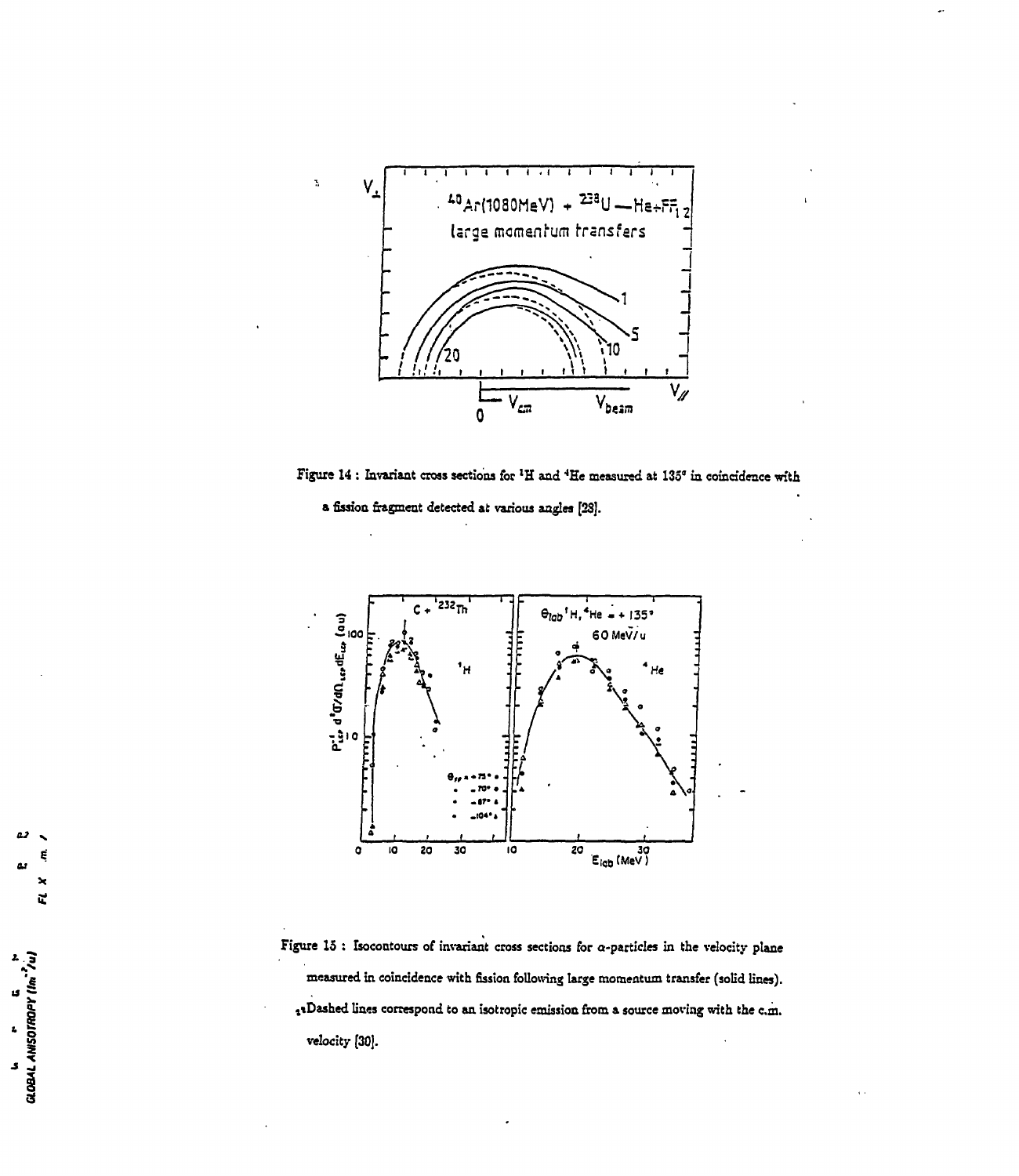

**Figure 14 : Invariant cross sections for <sup>l</sup>H and <sup>4</sup>He measured at 135' in coincidence with**





**Figure 15 : Isocontours of invariant cross sections for o-partides in the velocity plane measured in coincidence with fission following large momentum transfer (solid lines). itDashed lines correspond to an isotropic emission from a source moving with the cm. velocity [30].**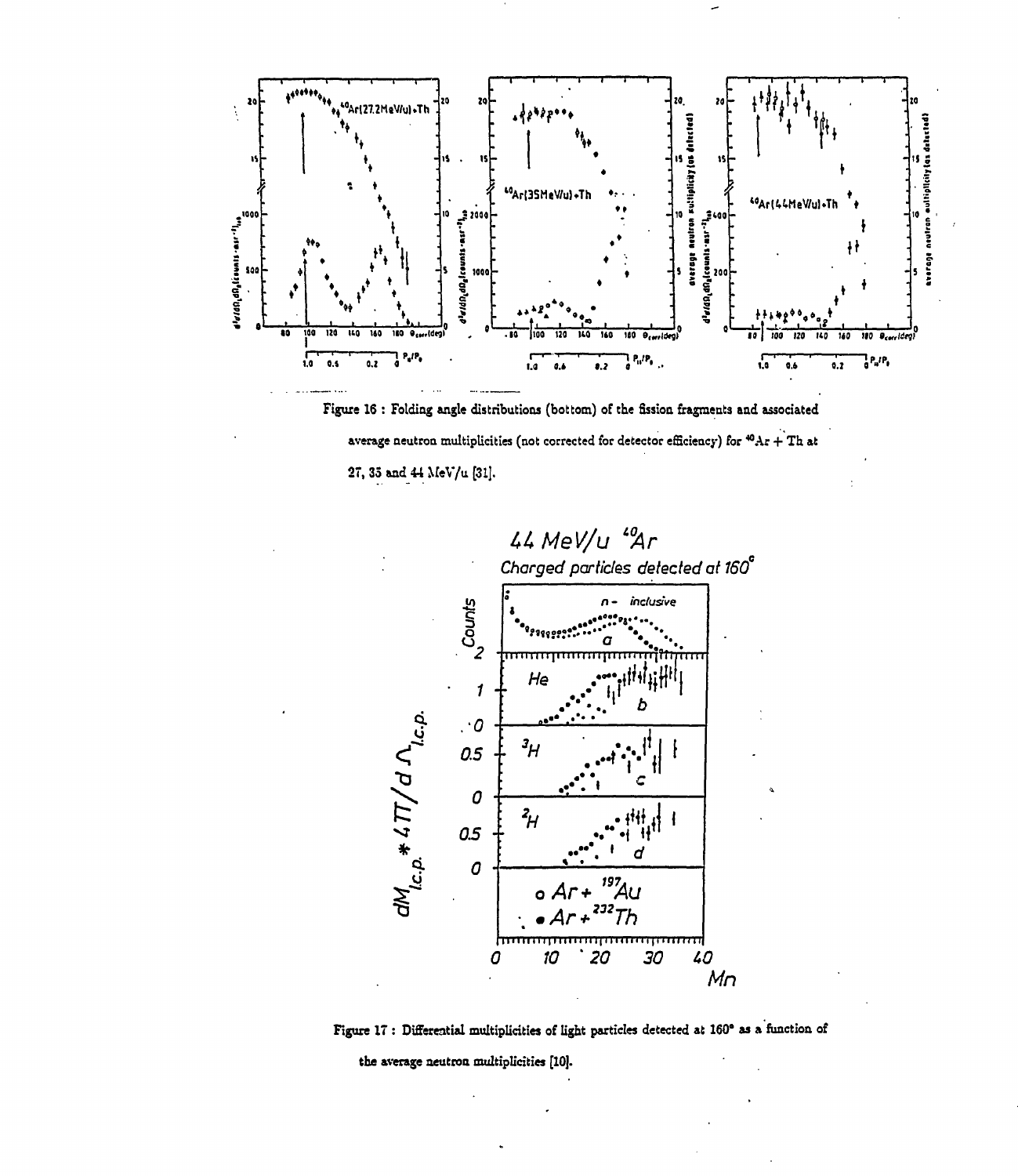

Figure 16 : Folding angle distributions (bottom) of the fission fragments and associated average neutron multiplicities (not corrected for detector efficiency) for  ${}^{\textstyle \bullet 0}\text{Ar} + \text{Th}$  at 27, 35 and 44 MeV/u [31].





the average neutron multiplicities [10].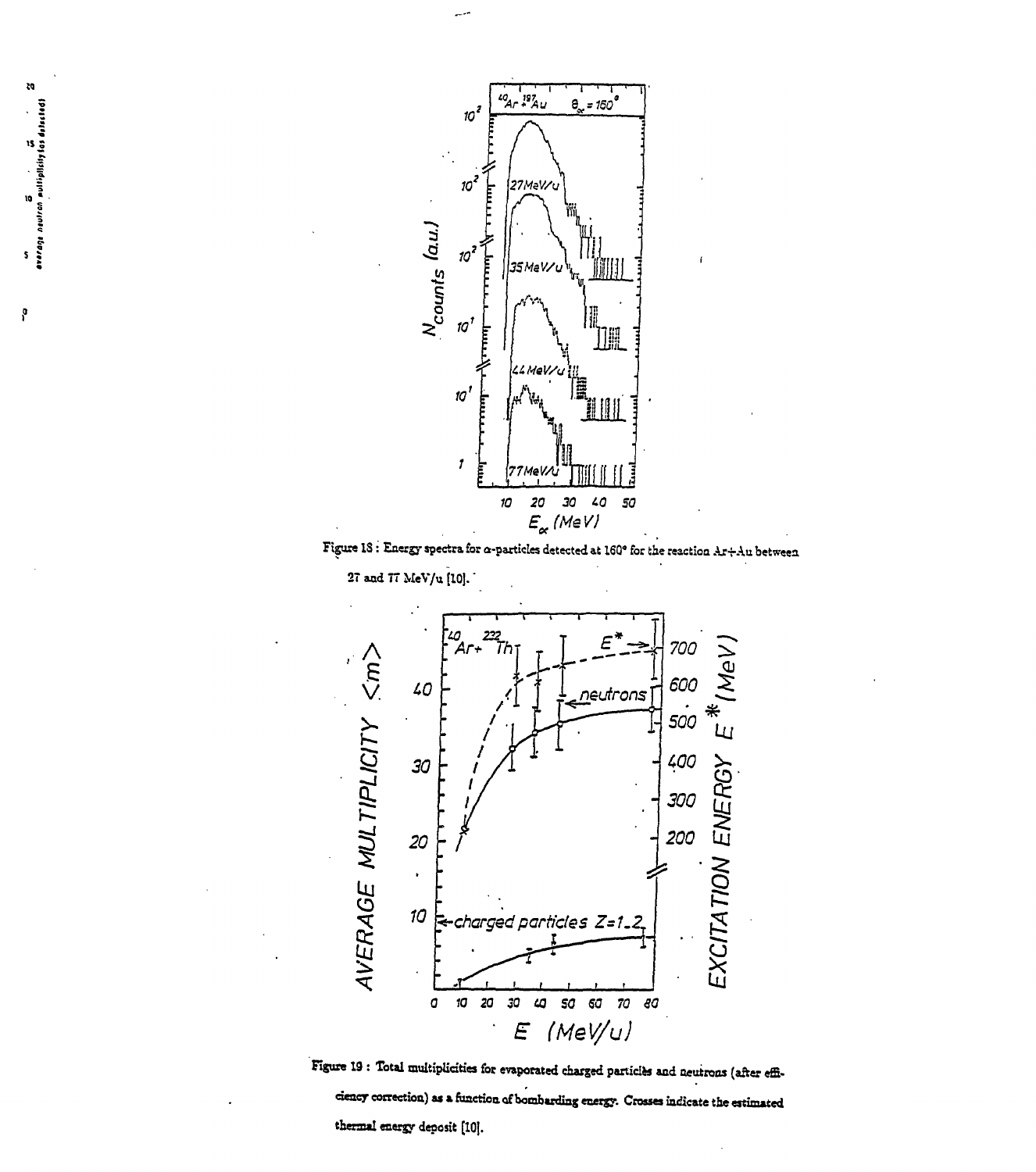

لمستد

Figure 18 : Energy spectra for  $\alpha$ -particles detected at 160° for the reaction Ar+Au between







p

ZQ.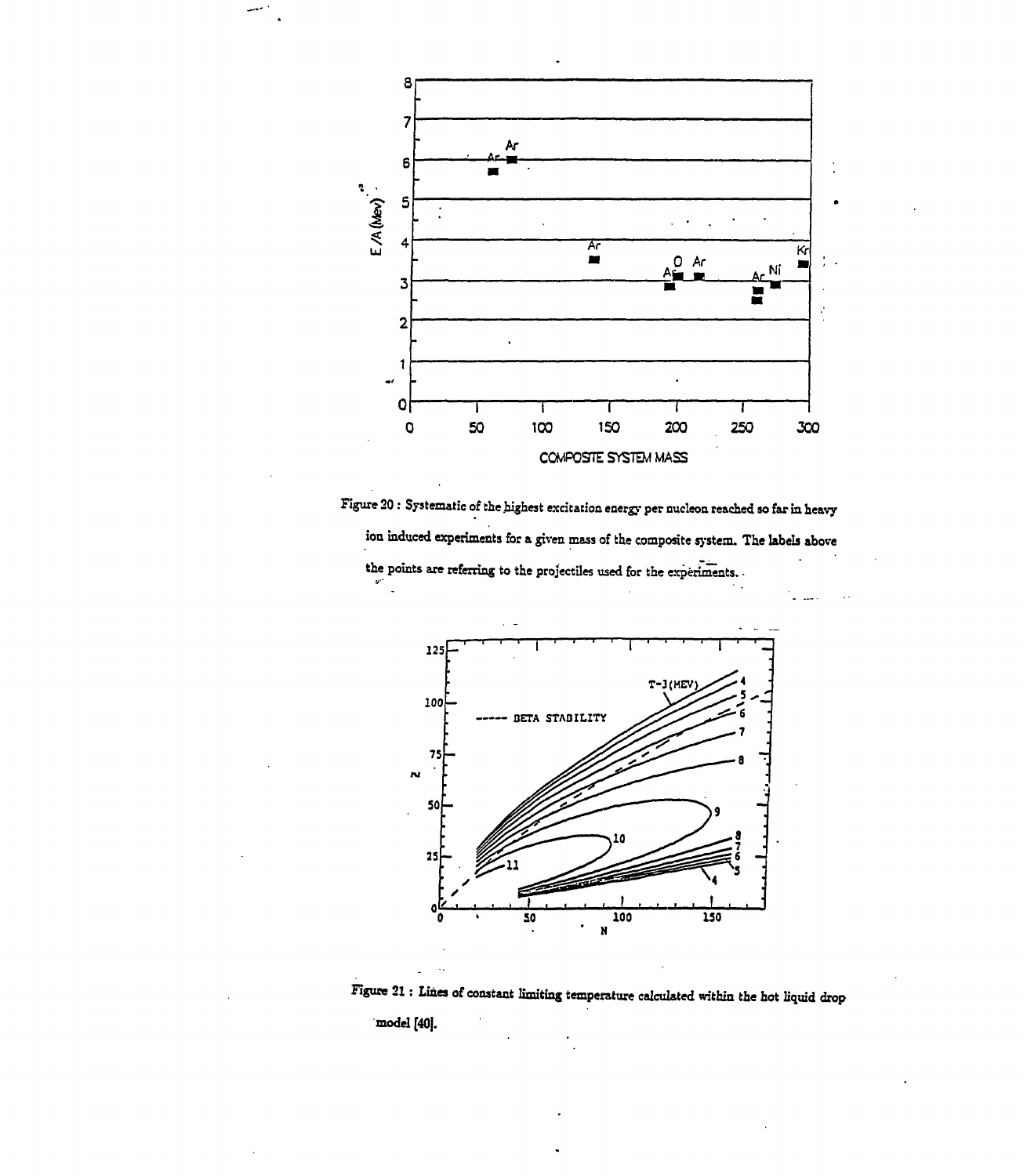

Figure 20 : Systematic of the highest excitation energy per nucleon reached so far in heavy ion induced experiments for a given mass of the composite system. The labels above the points are referring to the projectiles used for the experiments.



Figure 21 : Lines of constant limiting temperature calculated within the hot liquid drop

model [40].

 $\ddot{\phantom{a}}$